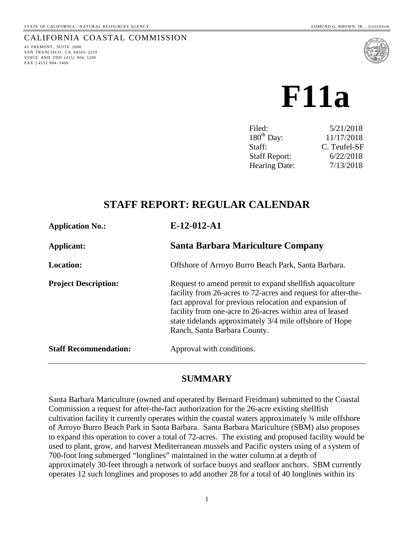### CALIFORNIA COASTAL COMMISSION

45 FREMONT, SUITE 2000 SAN FRANCISCO, CA 94105- 2219 VOICE AND TDD (415) 904- 5200 FAX ( 415) 904- 5400



 **F11a** 

| 5/21/2018    |
|--------------|
| 11/17/2018   |
| C. Teufel-SF |
| 6/22/2018    |
| 7/13/2018    |
|              |

## **STAFF REPORT: REGULAR CALENDAR**

| <b>Application No.:</b>      | $E-12-012-A1$                                                                                                                                                                                                                                                                                                                              |
|------------------------------|--------------------------------------------------------------------------------------------------------------------------------------------------------------------------------------------------------------------------------------------------------------------------------------------------------------------------------------------|
| Applicant:                   | Santa Barbara Mariculture Company                                                                                                                                                                                                                                                                                                          |
| <b>Location:</b>             | Offshore of Arroyo Burro Beach Park, Santa Barbara.                                                                                                                                                                                                                                                                                        |
| <b>Project Description:</b>  | Request to amend permit to expand shell fish aquaculture<br>facility from 26-acres to 72-acres and request for after-the-<br>fact approval for previous relocation and expansion of<br>facility from one-acre to 26-acres within area of leased<br>state tidelands approximately 3/4 mile offshore of Hope<br>Ranch, Santa Barbara County. |
| <b>Staff Recommendation:</b> | Approval with conditions.                                                                                                                                                                                                                                                                                                                  |

## **SUMMARY**

Santa Barbara Mariculture (owned and operated by Bernard Freidman) submitted to the Coastal Commission a request for after-the-fact authorization for the 26-acre existing shellfish cultivation facility it currently operates within the coastal waters approximately ¾ mile offshore of Arroyo Burro Beach Park in Santa Barbara. Santa Barbara Mariculture (SBM) also proposes to expand this operation to cover a total of 72-acres. The existing and proposed facility would be used to plant, grow, and harvest Mediterranean mussels and Pacific oysters using of a system of 700-foot long submerged "longlines" maintained in the water column at a depth of approximately 30-feet through a network of surface buoys and seafloor anchors. SBM currently operates 12 such longlines and proposes to add another 28 for a total of 40 longlines within its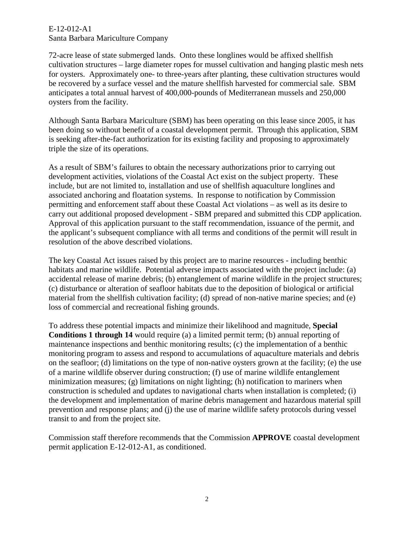72-acre lease of state submerged lands. Onto these longlines would be affixed shellfish cultivation structures – large diameter ropes for mussel cultivation and hanging plastic mesh nets for oysters. Approximately one- to three-years after planting, these cultivation structures would be recovered by a surface vessel and the mature shellfish harvested for commercial sale. SBM anticipates a total annual harvest of 400,000-pounds of Mediterranean mussels and 250,000 oysters from the facility.

Although Santa Barbara Mariculture (SBM) has been operating on this lease since 2005, it has been doing so without benefit of a coastal development permit. Through this application, SBM is seeking after-the-fact authorization for its existing facility and proposing to approximately triple the size of its operations.

As a result of SBM's failures to obtain the necessary authorizations prior to carrying out development activities, violations of the Coastal Act exist on the subject property. These include, but are not limited to, installation and use of shellfish aquaculture longlines and associated anchoring and floatation systems. In response to notification by Commission permitting and enforcement staff about these Coastal Act violations – as well as its desire to carry out additional proposed development - SBM prepared and submitted this CDP application. Approval of this application pursuant to the staff recommendation, issuance of the permit, and the applicant's subsequent compliance with all terms and conditions of the permit will result in resolution of the above described violations.

The key Coastal Act issues raised by this project are to marine resources - including benthic habitats and marine wildlife. Potential adverse impacts associated with the project include: (a) accidental release of marine debris; (b) entanglement of marine wildlife in the project structures; (c) disturbance or alteration of seafloor habitats due to the deposition of biological or artificial material from the shellfish cultivation facility; (d) spread of non-native marine species; and (e) loss of commercial and recreational fishing grounds.

To address these potential impacts and minimize their likelihood and magnitude, **Special Conditions 1 through 14** would require (a) a limited permit term; (b) annual reporting of maintenance inspections and benthic monitoring results; (c) the implementation of a benthic monitoring program to assess and respond to accumulations of aquaculture materials and debris on the seafloor; (d) limitations on the type of non-native oysters grown at the facility; (e) the use of a marine wildlife observer during construction; (f) use of marine wildlife entanglement minimization measures; (g) limitations on night lighting; (h) notification to mariners when construction is scheduled and updates to navigational charts when installation is completed; (i) the development and implementation of marine debris management and hazardous material spill prevention and response plans; and (j) the use of marine wildlife safety protocols during vessel transit to and from the project site.

Commission staff therefore recommends that the Commission **APPROVE** coastal development permit application E-12-012-A1, as conditioned.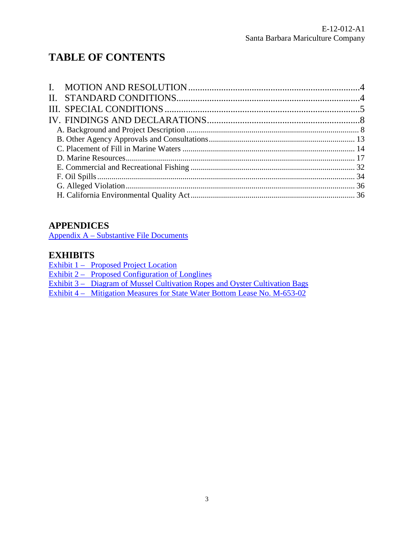# **TABLE OF CONTENTS**

## **APPENDICES**

[Appendix A – Substantive File Documents](#page-37-0)

## **EXHIBITS**

Exhibit 1 – Proposed Project Location

Exhibit  $2 -$  Proposed Configuration of Longlines

[Exhibit 3 – Diagram of Mussel Cultivation Ropes and Oyster Cultivation Bags](https://documents.coastal.ca.gov/reports/2018/7/f11a/f11a-7-2018-exhibits.pdf)

[Exhibit 4 – Mitigation Measures for State Water Bottom Lease No. M-653-02](https://documents.coastal.ca.gov/reports/2018/7/f11a/f11a-7-2018-exhibits.pdf)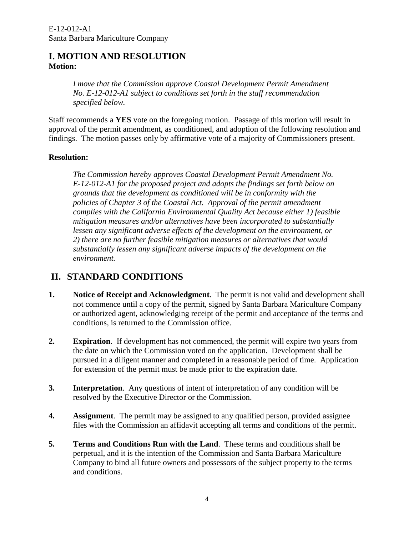## <span id="page-3-0"></span>**I. MOTION AND RESOLUTION Motion:**

*I move that the Commission approve Coastal Development Permit Amendment No. E-12-012-A1 subject to conditions set forth in the staff recommendation specified below.*

Staff recommends a **YES** vote on the foregoing motion. Passage of this motion will result in approval of the permit amendment, as conditioned, and adoption of the following resolution and findings. The motion passes only by affirmative vote of a majority of Commissioners present.

#### **Resolution:**

*The Commission hereby approves Coastal Development Permit Amendment No. E-12-012-A1 for the proposed project and adopts the findings set forth below on grounds that the development as conditioned will be in conformity with the policies of Chapter 3 of the Coastal Act. Approval of the permit amendment complies with the California Environmental Quality Act because either 1) feasible mitigation measures and/or alternatives have been incorporated to substantially*  lessen any significant adverse effects of the development on the environment, or *2) there are no further feasible mitigation measures or alternatives that would substantially lessen any significant adverse impacts of the development on the environment.* 

## <span id="page-3-1"></span>**II. STANDARD CONDITIONS**

- **1. Notice of Receipt and Acknowledgment**. The permit is not valid and development shall not commence until a copy of the permit, signed by Santa Barbara Mariculture Company or authorized agent, acknowledging receipt of the permit and acceptance of the terms and conditions, is returned to the Commission office.
- **2. Expiration**. If development has not commenced, the permit will expire two years from the date on which the Commission voted on the application. Development shall be pursued in a diligent manner and completed in a reasonable period of time. Application for extension of the permit must be made prior to the expiration date.
- **3. Interpretation**. Any questions of intent of interpretation of any condition will be resolved by the Executive Director or the Commission.
- **4. Assignment**. The permit may be assigned to any qualified person, provided assignee files with the Commission an affidavit accepting all terms and conditions of the permit.
- **5. Terms and Conditions Run with the Land**. These terms and conditions shall be perpetual, and it is the intention of the Commission and Santa Barbara Mariculture Company to bind all future owners and possessors of the subject property to the terms and conditions.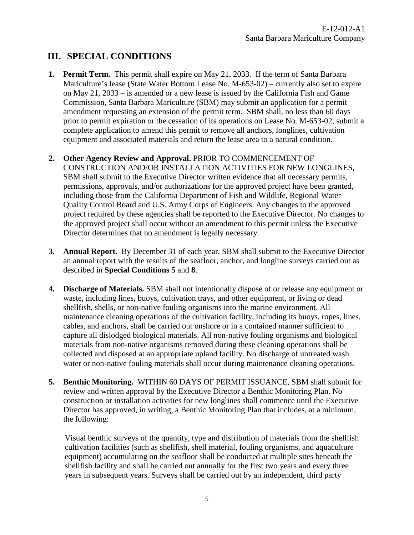## <span id="page-4-0"></span>**III. SPECIAL CONDITIONS**

- **1. Permit Term.** This permit shall expire on May 21, 2033. If the term of Santa Barbara Mariculture's lease (State Water Bottom Lease No. M-653-02) – currently also set to expire on May 21, 2033 – is amended or a new lease is issued by the California Fish and Game Commission, Santa Barbara Mariculture (SBM) may submit an application for a permit amendment requesting an extension of the permit term. SBM shall, no less than 60 days prior to permit expiration or the cessation of its operations on Lease No. M-653-02, submit a complete application to amend this permit to remove all anchors, longlines, cultivation equipment and associated materials and return the lease area to a natural condition.
- **2. Other Agency Review and Approval.** PRIOR TO COMMENCEMENT OF CONSTRUCTION AND/OR INSTALLATION ACTIVITIES FOR NEW LONGLINES, SBM shall submit to the Executive Director written evidence that all necessary permits, permissions, approvals, and/or authorizations for the approved project have been granted, including those from the California Department of Fish and Wildlife, Regional Water Quality Control Board and U.S. Army Corps of Engineers. Any changes to the approved project required by these agencies shall be reported to the Executive Director. No changes to the approved project shall occur without an amendment to this permit unless the Executive Director determines that no amendment is legally necessary.
- **3. Annual Report.** By December 31 of each year, SBM shall submit to the Executive Director an annual report with the results of the seafloor, anchor, and longline surveys carried out as described in **Special Conditions 5** and **8**.
- **4. Discharge of Materials.** SBM shall not intentionally dispose of or release any equipment or waste, including lines, buoys, cultivation trays, and other equipment, or living or dead shellfish, shells, or non-native fouling organisms into the marine environment. All maintenance cleaning operations of the cultivation facility, including its buoys, ropes, lines, cables, and anchors, shall be carried out onshore or in a contained manner sufficient to capture all dislodged biological materials. All non-native fouling organisms and biological materials from non-native organisms removed during these cleaning operations shall be collected and disposed at an appropriate upland facility. No discharge of untreated wash water or non-native fouling materials shall occur during maintenance cleaning operations.
- **5. Benthic Monitoring.** WITHIN 60 DAYS OF PERMIT ISSUANCE, SBM shall submit for review and written approval by the Executive Director a Benthic Monitoring Plan. No construction or installation activities for new longlines shall commence until the Executive Director has approved, in writing, a Benthic Monitoring Plan that includes, at a minimum, the following:

Visual benthic surveys of the quantity, type and distribution of materials from the shellfish cultivation facilities (such as shellfish, shell material, fouling organisms, and aquaculture equipment) accumulating on the seafloor shall be conducted at multiple sites beneath the shellfish facility and shall be carried out annually for the first two years and every three years in subsequent years. Surveys shall be carried out by an independent, third party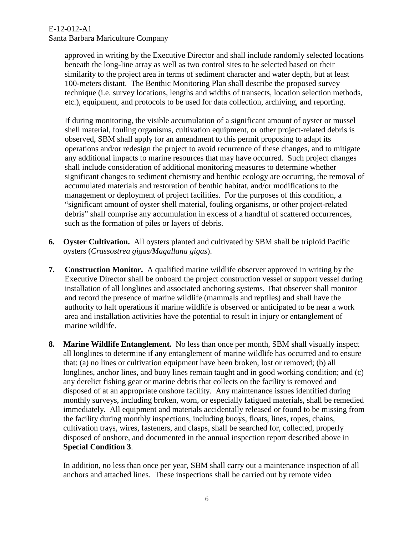> approved in writing by the Executive Director and shall include randomly selected locations beneath the long-line array as well as two control sites to be selected based on their similarity to the project area in terms of sediment character and water depth, but at least 100-meters distant. The Benthic Monitoring Plan shall describe the proposed survey technique (i.e. survey locations, lengths and widths of transects, location selection methods, etc.), equipment, and protocols to be used for data collection, archiving, and reporting.

> If during monitoring, the visible accumulation of a significant amount of oyster or mussel shell material, fouling organisms, cultivation equipment, or other project-related debris is observed, SBM shall apply for an amendment to this permit proposing to adapt its operations and/or redesign the project to avoid recurrence of these changes, and to mitigate any additional impacts to marine resources that may have occurred. Such project changes shall include consideration of additional monitoring measures to determine whether significant changes to sediment chemistry and benthic ecology are occurring, the removal of accumulated materials and restoration of benthic habitat, and/or modifications to the management or deployment of project facilities. For the purposes of this condition, a "significant amount of oyster shell material, fouling organisms, or other project-related debris" shall comprise any accumulation in excess of a handful of scattered occurrences, such as the formation of piles or layers of debris.

- **6. Oyster Cultivation.** All oysters planted and cultivated by SBM shall be triploid Pacific oysters (*Crassostrea gigas/Magallana gigas*).
- **7. Construction Monitor.** A qualified marine wildlife observer approved in writing by the Executive Director shall be onboard the project construction vessel or support vessel during installation of all longlines and associated anchoring systems. That observer shall monitor and record the presence of marine wildlife (mammals and reptiles) and shall have the authority to halt operations if marine wildlife is observed or anticipated to be near a work area and installation activities have the potential to result in injury or entanglement of marine wildlife.
- **8. Marine Wildlife Entanglement.** No less than once per month, SBM shall visually inspect all longlines to determine if any entanglement of marine wildlife has occurred and to ensure that: (a) no lines or cultivation equipment have been broken, lost or removed; (b) all longlines, anchor lines, and buoy lines remain taught and in good working condition; and (c) any derelict fishing gear or marine debris that collects on the facility is removed and disposed of at an appropriate onshore facility. Any maintenance issues identified during monthly surveys, including broken, worn, or especially fatigued materials, shall be remedied immediately. All equipment and materials accidentally released or found to be missing from the facility during monthly inspections, including buoys, floats, lines, ropes, chains, cultivation trays, wires, fasteners, and clasps, shall be searched for, collected, properly disposed of onshore, and documented in the annual inspection report described above in **Special Condition 3**.

In addition, no less than once per year, SBM shall carry out a maintenance inspection of all anchors and attached lines. These inspections shall be carried out by remote video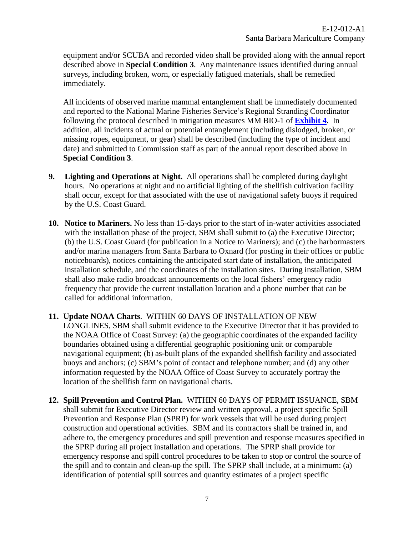equipment and/or SCUBA and recorded video shall be provided along with the annual report described above in **Special Condition 3**. Any maintenance issues identified during annual surveys, including broken, worn, or especially fatigued materials, shall be remedied immediately.

All incidents of observed marine mammal entanglement shall be immediately documented and reported to the National Marine Fisheries Service's Regional Stranding Coordinator following the protocol described in mitigation measures MM BIO-1 of **[Exhibit 4](https://documents.coastal.ca.gov/reports/2018/7/f11a/f11a-7-2018-exhibits.pdf)**. In addition, all incidents of actual or potential entanglement (including dislodged, broken, or missing ropes, equipment, or gear) shall be described (including the type of incident and date) and submitted to Commission staff as part of the annual report described above in **Special Condition 3**.

- **9. Lighting and Operations at Night.** All operations shall be completed during daylight hours. No operations at night and no artificial lighting of the shellfish cultivation facility shall occur, except for that associated with the use of navigational safety buoys if required by the U.S. Coast Guard.
- **10. Notice to Mariners.** No less than 15-days prior to the start of in-water activities associated with the installation phase of the project, SBM shall submit to (a) the Executive Director; (b) the U.S. Coast Guard (for publication in a Notice to Mariners); and (c) the harbormasters and/or marina managers from Santa Barbara to Oxnard (for posting in their offices or public noticeboards), notices containing the anticipated start date of installation, the anticipated installation schedule, and the coordinates of the installation sites. During installation, SBM shall also make radio broadcast announcements on the local fishers' emergency radio frequency that provide the current installation location and a phone number that can be called for additional information.
- **11. Update NOAA Charts**. WITHIN 60 DAYS OF INSTALLATION OF NEW LONGLINES, SBM shall submit evidence to the Executive Director that it has provided to the NOAA Office of Coast Survey: (a) the geographic coordinates of the expanded facility boundaries obtained using a differential geographic positioning unit or comparable navigational equipment; (b) as-built plans of the expanded shellfish facility and associated buoys and anchors; (c) SBM's point of contact and telephone number; and (d) any other information requested by the NOAA Office of Coast Survey to accurately portray the location of the shellfish farm on navigational charts.
- **12. Spill Prevention and Control Plan.** WITHIN 60 DAYS OF PERMIT ISSUANCE, SBM shall submit for Executive Director review and written approval, a project specific Spill Prevention and Response Plan (SPRP) for work vessels that will be used during project construction and operational activities. SBM and its contractors shall be trained in, and adhere to, the emergency procedures and spill prevention and response measures specified in the SPRP during all project installation and operations. The SPRP shall provide for emergency response and spill control procedures to be taken to stop or control the source of the spill and to contain and clean-up the spill. The SPRP shall include, at a minimum: (a) identification of potential spill sources and quantity estimates of a project specific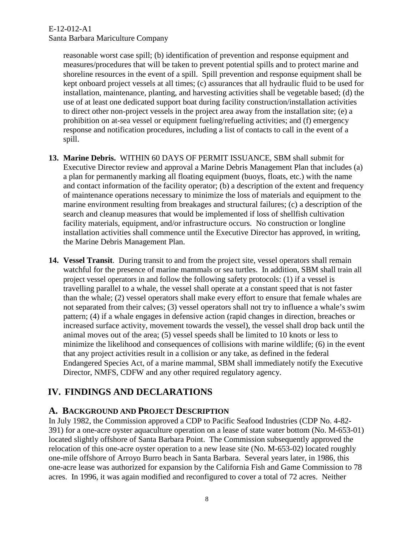### E-12-012-A1

Santa Barbara Mariculture Company

reasonable worst case spill; (b) identification of prevention and response equipment and measures/procedures that will be taken to prevent potential spills and to protect marine and shoreline resources in the event of a spill. Spill prevention and response equipment shall be kept onboard project vessels at all times; (c) assurances that all hydraulic fluid to be used for installation, maintenance, planting, and harvesting activities shall be vegetable based; (d) the use of at least one dedicated support boat during facility construction/installation activities to direct other non-project vessels in the project area away from the installation site; (e) a prohibition on at-sea vessel or equipment fueling/refueling activities; and (f) emergency response and notification procedures, including a list of contacts to call in the event of a spill.

- **13. Marine Debris.** WITHIN 60 DAYS OF PERMIT ISSUANCE, SBM shall submit for Executive Director review and approval a Marine Debris Management Plan that includes (a) a plan for permanently marking all floating equipment (buoys, floats, etc.) with the name and contact information of the facility operator; (b) a description of the extent and frequency of maintenance operations necessary to minimize the loss of materials and equipment to the marine environment resulting from breakages and structural failures; (c) a description of the search and cleanup measures that would be implemented if loss of shellfish cultivation facility materials, equipment, and/or infrastructure occurs. No construction or longline installation activities shall commence until the Executive Director has approved, in writing, the Marine Debris Management Plan.
- **14. Vessel Transit**. During transit to and from the project site, vessel operators shall remain watchful for the presence of marine mammals or sea turtles. In addition, SBM shall train all project vessel operators in and follow the following safety protocols: (1) if a vessel is travelling parallel to a whale, the vessel shall operate at a constant speed that is not faster than the whale; (2) vessel operators shall make every effort to ensure that female whales are not separated from their calves; (3) vessel operators shall not try to influence a whale's swim pattern; (4) if a whale engages in defensive action (rapid changes in direction, breaches or increased surface activity, movement towards the vessel), the vessel shall drop back until the animal moves out of the area; (5) vessel speeds shall be limited to 10 knots or less to minimize the likelihood and consequences of collisions with marine wildlife; (6) in the event that any project activities result in a collision or any take, as defined in the federal Endangered Species Act, of a marine mammal, SBM shall immediately notify the Executive Director, NMFS, CDFW and any other required regulatory agency.

## <span id="page-7-0"></span>**IV. FINDINGS AND DECLARATIONS**

## <span id="page-7-1"></span>**A. BACKGROUND AND PROJECT DESCRIPTION**

In July 1982, the Commission approved a CDP to Pacific Seafood Industries (CDP No. 4-82- 391) for a one-acre oyster aquaculture operation on a lease of state water bottom (No. M-653-01) located slightly offshore of Santa Barbara Point. The Commission subsequently approved the relocation of this one-acre oyster operation to a new lease site (No. M-653-02) located roughly one-mile offshore of Arroyo Burro beach in Santa Barbara. Several years later, in 1986, this one-acre lease was authorized for expansion by the California Fish and Game Commission to 78 acres. In 1996, it was again modified and reconfigured to cover a total of 72 acres. Neither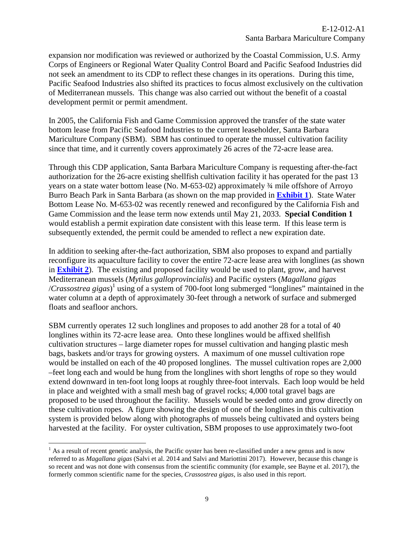expansion nor modification was reviewed or authorized by the Coastal Commission, U.S. Army Corps of Engineers or Regional Water Quality Control Board and Pacific Seafood Industries did not seek an amendment to its CDP to reflect these changes in its operations. During this time, Pacific Seafood Industries also shifted its practices to focus almost exclusively on the cultivation of Mediterranean mussels. This change was also carried out without the benefit of a coastal development permit or permit amendment.

In 2005, the California Fish and Game Commission approved the transfer of the state water bottom lease from Pacific Seafood Industries to the current leaseholder, Santa Barbara Mariculture Company (SBM). SBM has continued to operate the mussel cultivation facility since that time, and it currently covers approximately 26 acres of the 72-acre lease area.

Through this CDP application, Santa Barbara Mariculture Company is requesting after-the-fact authorization for the 26-acre existing shellfish cultivation facility it has operated for the past 13 years on a state water bottom lease (No. M-653-02) approximately ¾ mile offshore of Arroyo Burro Beach Park in Santa Barbara (as shown on the map provided in **[Exhibit 1](https://documents.coastal.ca.gov/reports/2018/7/f11a/f11a-7-2018-exhibits.pdf)**). State Water Bottom Lease No. M-653-02 was recently renewed and reconfigured by the California Fish and Game Commission and the lease term now extends until May 21, 2033. **Special Condition 1** would establish a permit expiration date consistent with this lease term. If this lease term is subsequently extended, the permit could be amended to reflect a new expiration date.

In addition to seeking after-the-fact authorization, SBM also proposes to expand and partially reconfigure its aquaculture facility to cover the entire 72-acre lease area with longlines (as shown in **[Exhibit 2](https://documents.coastal.ca.gov/reports/2018/7/f11a/f11a-7-2018-exhibits.pdf)**). The existing and proposed facility would be used to plant, grow, and harvest Mediterranean mussels (*Mytilus galloprovincialis*) and Pacific oysters (*Magallana gigas*  /*Crassostrea gigas*) 1 using of a system of 700-foot long submerged "longlines" maintained in the water column at a depth of approximately 30-feet through a network of surface and submerged floats and seafloor anchors.

SBM currently operates 12 such longlines and proposes to add another 28 for a total of 40 longlines within its 72-acre lease area. Onto these longlines would be affixed shellfish cultivation structures – large diameter ropes for mussel cultivation and hanging plastic mesh bags, baskets and/or trays for growing oysters. A maximum of one mussel cultivation rope would be installed on each of the 40 proposed longlines. The mussel cultivation ropes are 2,000 –feet long each and would be hung from the longlines with short lengths of rope so they would extend downward in ten-foot long loops at roughly three-foot intervals. Each loop would be held in place and weighted with a small mesh bag of gravel rocks; 4,000 total gravel bags are proposed to be used throughout the facility. Mussels would be seeded onto and grow directly on these cultivation ropes. A figure showing the design of one of the longlines in this cultivation system is provided below along with photographs of mussels being cultivated and oysters being harvested at the facility. For oyster cultivation, SBM proposes to use approximately two-foot

 $\overline{a}$ 

 $<sup>1</sup>$  As a result of recent genetic analysis, the Pacific oyster has been re-classified under a new genus and is now</sup> referred to as *Magallana gigas* (Salvi et al. 2014 and Salvi and Mariottini 2017). However, because this change is so recent and was not done with consensus from the scientific community (for example, see Bayne et al. 2017), the formerly common scientific name for the species, *Crassostrea gigas,* is also used in this report.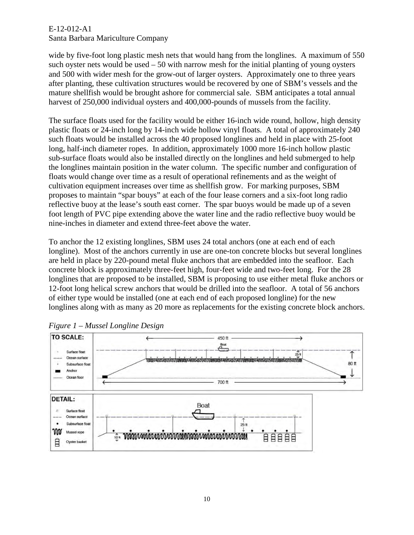wide by five-foot long plastic mesh nets that would hang from the longlines. A maximum of 550 such oyster nets would be used – 50 with narrow mesh for the initial planting of young oysters and 500 with wider mesh for the grow-out of larger oysters. Approximately one to three years after planting, these cultivation structures would be recovered by one of SBM's vessels and the mature shellfish would be brought ashore for commercial sale. SBM anticipates a total annual harvest of 250,000 individual oysters and 400,000-pounds of mussels from the facility.

The surface floats used for the facility would be either 16-inch wide round, hollow, high density plastic floats or 24-inch long by 14-inch wide hollow vinyl floats. A total of approximately 240 such floats would be installed across the 40 proposed longlines and held in place with 25-foot long, half-inch diameter ropes. In addition, approximately 1000 more 16-inch hollow plastic sub-surface floats would also be installed directly on the longlines and held submerged to help the longlines maintain position in the water column. The specific number and configuration of floats would change over time as a result of operational refinements and as the weight of cultivation equipment increases over time as shellfish grow. For marking purposes, SBM proposes to maintain "spar bouys" at each of the four lease corners and a six-foot long radio reflective buoy at the lease's south east corner. The spar buoys would be made up of a seven foot length of PVC pipe extending above the water line and the radio reflective buoy would be nine-inches in diameter and extend three-feet above the water.

To anchor the 12 existing longlines, SBM uses 24 total anchors (one at each end of each longline). Most of the anchors currently in use are one-ton concrete blocks but several longlines are held in place by 220-pound metal fluke anchors that are embedded into the seafloor. Each concrete block is approximately three-feet high, four-feet wide and two-feet long. For the 28 longlines that are proposed to be installed, SBM is proposing to use either metal fluke anchors or 12-foot long helical screw anchors that would be drilled into the seafloor. A total of 56 anchors of either type would be installed (one at each end of each proposed longline) for the new longlines along with as many as 20 more as replacements for the existing concrete block anchors.



*Figure 1 – Mussel Longline Design*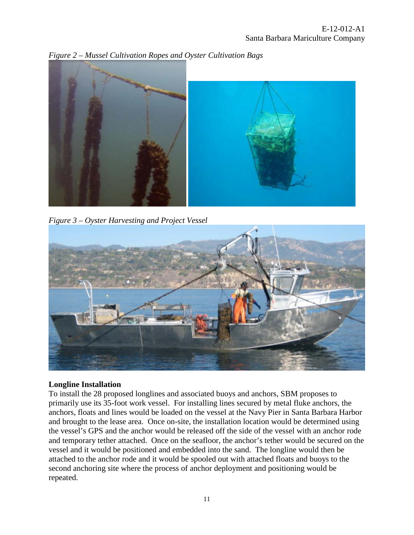

*Figure 2 – Mussel Cultivation Ropes and Oyster Cultivation Bags* 

*Figure 3 – Oyster Harvesting and Project Vessel* 



### **Longline Installation**

To install the 28 proposed longlines and associated buoys and anchors, SBM proposes to primarily use its 35-foot work vessel. For installing lines secured by metal fluke anchors, the anchors, floats and lines would be loaded on the vessel at the Navy Pier in Santa Barbara Harbor and brought to the lease area. Once on-site, the installation location would be determined using the vessel's GPS and the anchor would be released off the side of the vessel with an anchor rode and temporary tether attached. Once on the seafloor, the anchor's tether would be secured on the vessel and it would be positioned and embedded into the sand. The longline would then be attached to the anchor rode and it would be spooled out with attached floats and buoys to the second anchoring site where the process of anchor deployment and positioning would be repeated.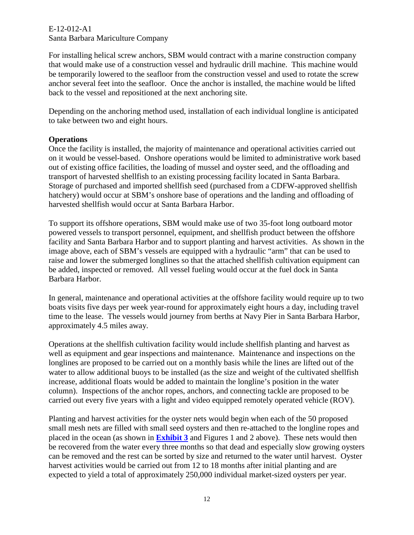For installing helical screw anchors, SBM would contract with a marine construction company that would make use of a construction vessel and hydraulic drill machine. This machine would be temporarily lowered to the seafloor from the construction vessel and used to rotate the screw anchor several feet into the seafloor. Once the anchor is installed, the machine would be lifted back to the vessel and repositioned at the next anchoring site.

Depending on the anchoring method used, installation of each individual longline is anticipated to take between two and eight hours.

### **Operations**

Once the facility is installed, the majority of maintenance and operational activities carried out on it would be vessel-based. Onshore operations would be limited to administrative work based out of existing office facilities, the loading of mussel and oyster seed, and the offloading and transport of harvested shellfish to an existing processing facility located in Santa Barbara. Storage of purchased and imported shellfish seed (purchased from a CDFW-approved shellfish hatchery) would occur at SBM's onshore base of operations and the landing and offloading of harvested shellfish would occur at Santa Barbara Harbor.

To support its offshore operations, SBM would make use of two 35-foot long outboard motor powered vessels to transport personnel, equipment, and shellfish product between the offshore facility and Santa Barbara Harbor and to support planting and harvest activities. As shown in the image above, each of SBM's vessels are equipped with a hydraulic "arm" that can be used to raise and lower the submerged longlines so that the attached shellfish cultivation equipment can be added, inspected or removed. All vessel fueling would occur at the fuel dock in Santa Barbara Harbor.

In general, maintenance and operational activities at the offshore facility would require up to two boats visits five days per week year-round for approximately eight hours a day, including travel time to the lease. The vessels would journey from berths at Navy Pier in Santa Barbara Harbor, approximately 4.5 miles away.

Operations at the shellfish cultivation facility would include shellfish planting and harvest as well as equipment and gear inspections and maintenance. Maintenance and inspections on the longlines are proposed to be carried out on a monthly basis while the lines are lifted out of the water to allow additional buoys to be installed (as the size and weight of the cultivated shellfish increase, additional floats would be added to maintain the longline's position in the water column). Inspections of the anchor ropes, anchors, and connecting tackle are proposed to be carried out every five years with a light and video equipped remotely operated vehicle (ROV).

Planting and harvest activities for the oyster nets would begin when each of the 50 proposed small mesh nets are filled with small seed oysters and then re-attached to the longline ropes and placed in the ocean (as shown in **[Exhibit 3](https://documents.coastal.ca.gov/reports/2018/7/f11a/f11a-7-2018-exhibits.pdf)** and Figures 1 and 2 above). These nets would then be recovered from the water every three months so that dead and especially slow growing oysters can be removed and the rest can be sorted by size and returned to the water until harvest. Oyster harvest activities would be carried out from 12 to 18 months after initial planting and are expected to yield a total of approximately 250,000 individual market-sized oysters per year.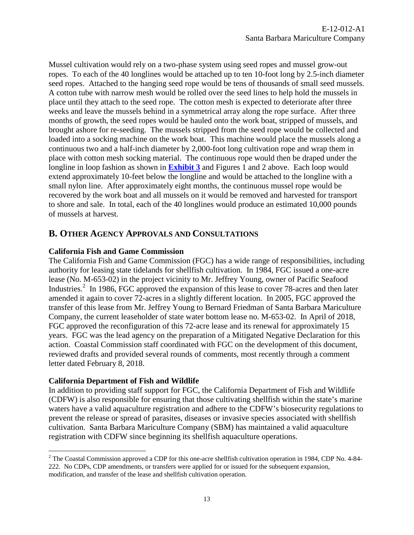Mussel cultivation would rely on a two-phase system using seed ropes and mussel grow-out ropes. To each of the 40 longlines would be attached up to ten 10-foot long by 2.5-inch diameter seed ropes. Attached to the hanging seed rope would be tens of thousands of small seed mussels. A cotton tube with narrow mesh would be rolled over the seed lines to help hold the mussels in place until they attach to the seed rope. The cotton mesh is expected to deteriorate after three weeks and leave the mussels behind in a symmetrical array along the rope surface. After three months of growth, the seed ropes would be hauled onto the work boat, stripped of mussels, and brought ashore for re-seeding. The mussels stripped from the seed rope would be collected and loaded into a socking machine on the work boat. This machine would place the mussels along a continuous two and a half-inch diameter by 2,000-foot long cultivation rope and wrap them in place with cotton mesh socking material. The continuous rope would then be draped under the longline in loop fashion as shown in **[Exhibit 3](https://documents.coastal.ca.gov/reports/2018/7/f11a/f11a-7-2018-exhibits.pdf)** and Figures 1 and 2 above. Each loop would extend approximately 10-feet below the longline and would be attached to the longline with a small nylon line. After approximately eight months, the continuous mussel rope would be recovered by the work boat and all mussels on it would be removed and harvested for transport to shore and sale. In total, each of the 40 longlines would produce an estimated 10,000 pounds of mussels at harvest.

## <span id="page-12-0"></span>**B. OTHER AGENCY APPROVALS AND CONSULTATIONS**

#### **California Fish and Game Commission**

The California Fish and Game Commission (FGC) has a wide range of responsibilities, including authority for leasing state tidelands for shellfish cultivation. In 1984, FGC issued a one-acre lease (No. M-653-02) in the project vicinity to Mr. Jeffrey Young, owner of Pacific Seafood Industries.<sup>2</sup> In 1986, FGC approved the expansion of this lease to cover 78-acres and then later amended it again to cover 72-acres in a slightly different location. In 2005, FGC approved the transfer of this lease from Mr. Jeffrey Young to Bernard Friedman of Santa Barbara Mariculture Company, the current leaseholder of state water bottom lease no. M-653-02. In April of 2018, FGC approved the reconfiguration of this 72-acre lease and its renewal for approximately 15 years. FGC was the lead agency on the preparation of a Mitigated Negative Declaration for this action. Coastal Commission staff coordinated with FGC on the development of this document, reviewed drafts and provided several rounds of comments, most recently through a comment letter dated February 8, 2018.

### **California Department of Fish and Wildlife**

In addition to providing staff support for FGC, the California Department of Fish and Wildlife (CDFW) is also responsible for ensuring that those cultivating shellfish within the state's marine waters have a valid aquaculture registration and adhere to the CDFW's biosecurity regulations to prevent the release or spread of parasites, diseases or invasive species associated with shellfish cultivation. Santa Barbara Mariculture Company (SBM) has maintained a valid aquaculture registration with CDFW since beginning its shellfish aquaculture operations.

 $\overline{a}$  $2^2$  The Coastal Commission approved a CDP for this one-acre shellfish cultivation operation in 1984, CDP No. 4-84-222. No CDPs, CDP amendments, or transfers were applied for or issued for the subsequent expansion, modification, and transfer of the lease and shellfish cultivation operation.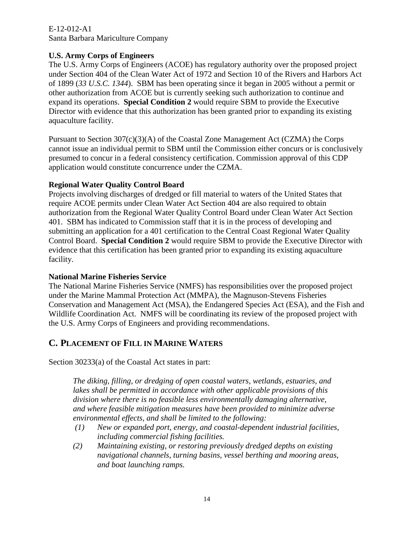### **U.S. Army Corps of Engineers**

The U.S. Army Corps of Engineers (ACOE) has regulatory authority over the proposed project under Section 404 of the Clean Water Act of 1972 and Section 10 of the Rivers and Harbors Act of 1899 (*33 U.S.C. 1344*). SBM has been operating since it began in 2005 without a permit or other authorization from ACOE but is currently seeking such authorization to continue and expand its operations. **Special Condition 2** would require SBM to provide the Executive Director with evidence that this authorization has been granted prior to expanding its existing aquaculture facility.

Pursuant to Section 307(c)(3)(A) of the Coastal Zone Management Act (CZMA) the Corps cannot issue an individual permit to SBM until the Commission either concurs or is conclusively presumed to concur in a federal consistency certification. Commission approval of this CDP application would constitute concurrence under the CZMA.

#### **Regional Water Quality Control Board**

Projects involving discharges of dredged or fill material to waters of the United States that require ACOE permits under Clean Water Act Section 404 are also required to obtain authorization from the Regional Water Quality Control Board under Clean Water Act Section 401. SBM has indicated to Commission staff that it is in the process of developing and submitting an application for a 401 certification to the Central Coast Regional Water Quality Control Board. **Special Condition 2** would require SBM to provide the Executive Director with evidence that this certification has been granted prior to expanding its existing aquaculture facility.

#### **National Marine Fisheries Service**

The National Marine Fisheries Service (NMFS) has responsibilities over the proposed project under the Marine Mammal Protection Act (MMPA), the Magnuson-Stevens Fisheries Conservation and Management Act (MSA), the Endangered Species Act (ESA), and the Fish and Wildlife Coordination Act. NMFS will be coordinating its review of the proposed project with the U.S. Army Corps of Engineers and providing recommendations.

## <span id="page-13-0"></span>**C. PLACEMENT OF FILL IN MARINE WATERS**

Section 30233(a) of the Coastal Act states in part:

*The diking, filling, or dredging of open coastal waters, wetlands, estuaries, and lakes shall be permitted in accordance with other applicable provisions of this division where there is no feasible less environmentally damaging alternative, and where feasible mitigation measures have been provided to minimize adverse environmental effects, and shall be limited to the following:* 

- *(1) New or expanded port, energy, and coastal-dependent industrial facilities, including commercial fishing facilities.*
- *(2) Maintaining existing, or restoring previously dredged depths on existing navigational channels, turning basins, vessel berthing and mooring areas, and boat launching ramps.*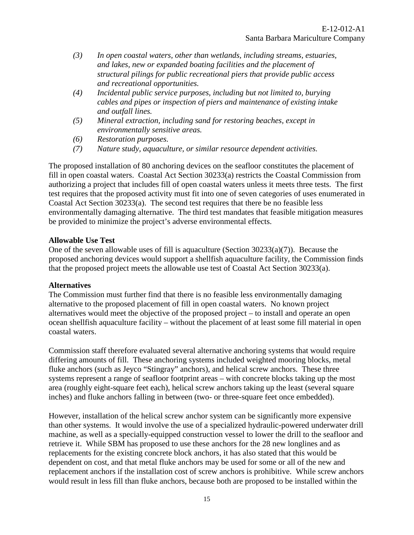- *(3) In open coastal waters, other than wetlands, including streams, estuaries, and lakes, new or expanded boating facilities and the placement of structural pilings for public recreational piers that provide public access and recreational opportunities.*
- *(4) Incidental public service purposes, including but not limited to, burying cables and pipes or inspection of piers and maintenance of existing intake and outfall lines.*
- *(5) Mineral extraction, including sand for restoring beaches, except in environmentally sensitive areas.*
- *(6) Restoration purposes.*
- *(7) Nature study, aquaculture, or similar resource dependent activities.*

The proposed installation of 80 anchoring devices on the seafloor constitutes the placement of fill in open coastal waters. Coastal Act Section 30233(a) restricts the Coastal Commission from authorizing a project that includes fill of open coastal waters unless it meets three tests. The first test requires that the proposed activity must fit into one of seven categories of uses enumerated in Coastal Act Section 30233(a). The second test requires that there be no feasible less environmentally damaging alternative. The third test mandates that feasible mitigation measures be provided to minimize the project's adverse environmental effects.

#### **Allowable Use Test**

One of the seven allowable uses of fill is aquaculture (Section  $30233(a)(7)$ ). Because the proposed anchoring devices would support a shellfish aquaculture facility, the Commission finds that the proposed project meets the allowable use test of Coastal Act Section 30233(a).

#### **Alternatives**

The Commission must further find that there is no feasible less environmentally damaging alternative to the proposed placement of fill in open coastal waters. No known project alternatives would meet the objective of the proposed project – to install and operate an open ocean shellfish aquaculture facility – without the placement of at least some fill material in open coastal waters.

Commission staff therefore evaluated several alternative anchoring systems that would require differing amounts of fill. These anchoring systems included weighted mooring blocks, metal fluke anchors (such as Jeyco "Stingray" anchors), and helical screw anchors. These three systems represent a range of seafloor footprint areas – with concrete blocks taking up the most area (roughly eight-square feet each), helical screw anchors taking up the least (several square inches) and fluke anchors falling in between (two- or three-square feet once embedded).

However, installation of the helical screw anchor system can be significantly more expensive than other systems. It would involve the use of a specialized hydraulic-powered underwater drill machine, as well as a specially-equipped construction vessel to lower the drill to the seafloor and retrieve it. While SBM has proposed to use these anchors for the 28 new longlines and as replacements for the existing concrete block anchors, it has also stated that this would be dependent on cost, and that metal fluke anchors may be used for some or all of the new and replacement anchors if the installation cost of screw anchors is prohibitive. While screw anchors would result in less fill than fluke anchors, because both are proposed to be installed within the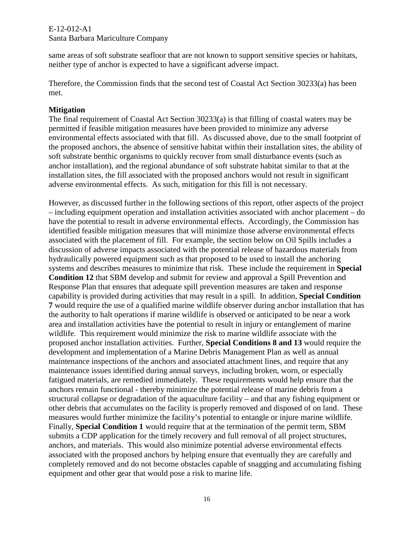same areas of soft substrate seafloor that are not known to support sensitive species or habitats, neither type of anchor is expected to have a significant adverse impact.

Therefore, the Commission finds that the second test of Coastal Act Section 30233(a) has been met.

#### **Mitigation**

The final requirement of Coastal Act Section 30233(a) is that filling of coastal waters may be permitted if feasible mitigation measures have been provided to minimize any adverse environmental effects associated with that fill. As discussed above, due to the small footprint of the proposed anchors, the absence of sensitive habitat within their installation sites, the ability of soft substrate benthic organisms to quickly recover from small disturbance events (such as anchor installation), and the regional abundance of soft substrate habitat similar to that at the installation sites, the fill associated with the proposed anchors would not result in significant adverse environmental effects. As such, mitigation for this fill is not necessary.

However, as discussed further in the following sections of this report, other aspects of the project – including equipment operation and installation activities associated with anchor placement – do have the potential to result in adverse environmental effects. Accordingly, the Commission has identified feasible mitigation measures that will minimize those adverse environmental effects associated with the placement of fill. For example, the section below on Oil Spills includes a discussion of adverse impacts associated with the potential release of hazardous materials from hydraulically powered equipment such as that proposed to be used to install the anchoring systems and describes measures to minimize that risk. These include the requirement in **Special Condition 12** that SBM develop and submit for review and approval a Spill Prevention and Response Plan that ensures that adequate spill prevention measures are taken and response capability is provided during activities that may result in a spill. In addition, **Special Condition 7** would require the use of a qualified marine wildlife observer during anchor installation that has the authority to halt operations if marine wildlife is observed or anticipated to be near a work area and installation activities have the potential to result in injury or entanglement of marine wildlife. This requirement would minimize the risk to marine wildlife associate with the proposed anchor installation activities. Further, **Special Conditions 8 and 13** would require the development and implementation of a Marine Debris Management Plan as well as annual maintenance inspections of the anchors and associated attachment lines, and require that any maintenance issues identified during annual surveys, including broken, worn, or especially fatigued materials, are remedied immediately. These requirements would help ensure that the anchors remain functional - thereby minimize the potential release of marine debris from a structural collapse or degradation of the aquaculture facility – and that any fishing equipment or other debris that accumulates on the facility is properly removed and disposed of on land. These measures would further minimize the facility's potential to entangle or injure marine wildlife. Finally, **Special Condition 1** would require that at the termination of the permit term, SBM submits a CDP application for the timely recovery and full removal of all project structures, anchors, and materials. This would also minimize potential adverse environmental effects associated with the proposed anchors by helping ensure that eventually they are carefully and completely removed and do not become obstacles capable of snagging and accumulating fishing equipment and other gear that would pose a risk to marine life.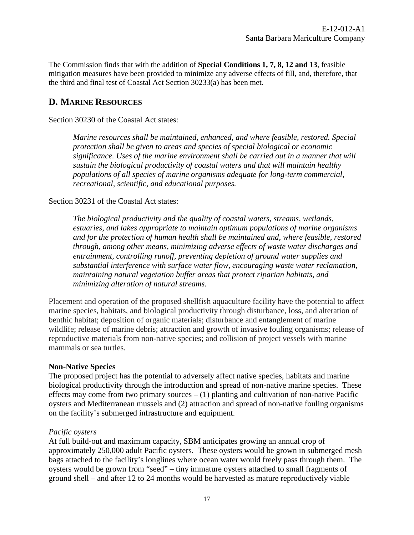The Commission finds that with the addition of **Special Conditions 1, 7, 8, 12 and 13**, feasible mitigation measures have been provided to minimize any adverse effects of fill, and, therefore, that the third and final test of Coastal Act Section 30233(a) has been met.

## <span id="page-16-0"></span>**D. MARINE RESOURCES**

Section 30230 of the Coastal Act states:

*Marine resources shall be maintained, enhanced, and where feasible, restored. Special protection shall be given to areas and species of special biological or economic significance. Uses of the marine environment shall be carried out in a manner that will sustain the biological productivity of coastal waters and that will maintain healthy populations of all species of marine organisms adequate for long-term commercial, recreational, scientific, and educational purposes.* 

#### Section 30231 of the Coastal Act states:

*The biological productivity and the quality of coastal waters, streams, wetlands, estuaries, and lakes appropriate to maintain optimum populations of marine organisms and for the protection of human health shall be maintained and, where feasible, restored through, among other means, minimizing adverse effects of waste water discharges and entrainment, controlling runoff, preventing depletion of ground water supplies and substantial interference with surface water flow, encouraging waste water reclamation, maintaining natural vegetation buffer areas that protect riparian habitats, and minimizing alteration of natural streams.* 

Placement and operation of the proposed shellfish aquaculture facility have the potential to affect marine species, habitats, and biological productivity through disturbance, loss, and alteration of benthic habitat; deposition of organic materials; disturbance and entanglement of marine wildlife; release of marine debris; attraction and growth of invasive fouling organisms; release of reproductive materials from non-native species; and collision of project vessels with marine mammals or sea turtles.

#### **Non-Native Species**

The proposed project has the potential to adversely affect native species, habitats and marine biological productivity through the introduction and spread of non-native marine species. These effects may come from two primary sources  $- (1)$  planting and cultivation of non-native Pacific oysters and Mediterranean mussels and (2) attraction and spread of non-native fouling organisms on the facility's submerged infrastructure and equipment.

#### *Pacific oysters*

At full build-out and maximum capacity, SBM anticipates growing an annual crop of approximately 250,000 adult Pacific oysters. These oysters would be grown in submerged mesh bags attached to the facility's longlines where ocean water would freely pass through them. The oysters would be grown from "seed" – tiny immature oysters attached to small fragments of ground shell – and after 12 to 24 months would be harvested as mature reproductively viable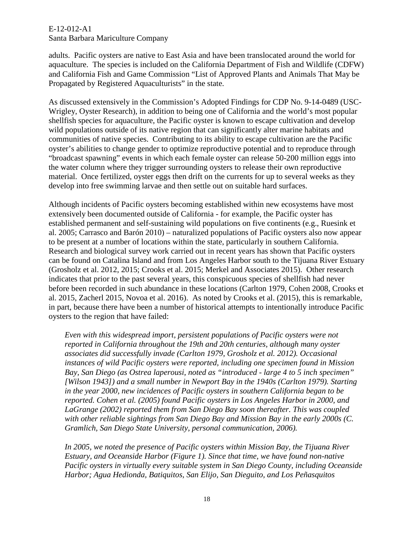adults. Pacific oysters are native to East Asia and have been translocated around the world for aquaculture. The species is included on the California Department of Fish and Wildlife (CDFW) and California Fish and Game Commission "List of Approved Plants and Animals That May be Propagated by Registered Aquaculturists" in the state.

As discussed extensively in the Commission's Adopted Findings for CDP No. 9-14-0489 (USC-Wrigley, Oyster Research), in addition to being one of California and the world's most popular shellfish species for aquaculture, the Pacific oyster is known to escape cultivation and develop wild populations outside of its native region that can significantly alter marine habitats and communities of native species. Contributing to its ability to escape cultivation are the Pacific oyster's abilities to change gender to optimize reproductive potential and to reproduce through "broadcast spawning" events in which each female oyster can release 50-200 million eggs into the water column where they trigger surrounding oysters to release their own reproductive material. Once fertilized, oyster eggs then drift on the currents for up to several weeks as they develop into free swimming larvae and then settle out on suitable hard surfaces.

Although incidents of Pacific oysters becoming established within new ecosystems have most extensively been documented outside of California - for example, the Pacific oyster has established permanent and self-sustaining wild populations on five continents (e.g., Ruesink et al. 2005; Carrasco and Barón 2010) – naturalized populations of Pacific oysters also now appear to be present at a number of locations within the state, particularly in southern California. Research and biological survey work carried out in recent years has shown that Pacific oysters can be found on Catalina Island and from Los Angeles Harbor south to the Tijuana River Estuary (Grosholz et al. 2012, 2015; Crooks et al. 2015; Merkel and Associates 2015). Other research indicates that prior to the past several years, this conspicuous species of shellfish had never before been recorded in such abundance in these locations (Carlton 1979, Cohen 2008, Crooks et al. 2015, Zacherl 2015, Novoa et al. 2016). As noted by Crooks et al. (2015), this is remarkable, in part, because there have been a number of historical attempts to intentionally introduce Pacific oysters to the region that have failed:

*Even with this widespread import, persistent populations of Pacific oysters were not reported in California throughout the 19th and 20th centuries, although many oyster associates did successfully invade (Carlton 1979, Grosholz et al. 2012). Occasional instances of wild Pacific oysters were reported, including one specimen found in Mission Bay, San Diego (as Ostrea laperousi, noted as "introduced - large 4 to 5 inch specimen" [Wilson 1943]) and a small number in Newport Bay in the 1940s (Carlton 1979). Starting in the year 2000, new incidences of Pacific oysters in southern California began to be reported. Cohen et al. (2005) found Pacific oysters in Los Angeles Harbor in 2000, and LaGrange (2002) reported them from San Diego Bay soon thereafter. This was coupled with other reliable sightings from San Diego Bay and Mission Bay in the early 2000s (C. Gramlich, San Diego State University, personal communication, 2006).* 

*In 2005, we noted the presence of Pacific oysters within Mission Bay, the Tijuana River Estuary, and Oceanside Harbor (Figure 1). Since that time, we have found non-native Pacific oysters in virtually every suitable system in San Diego County, including Oceanside Harbor; Agua Hedionda, Batiquitos, San Elijo, San Dieguito, and Los Peñasquitos*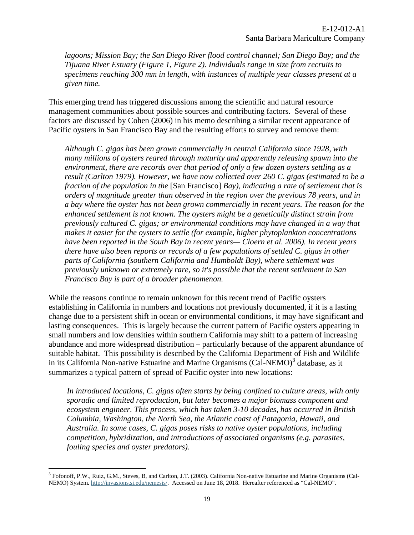*lagoons; Mission Bay; the San Diego River flood control channel; San Diego Bay; and the Tijuana River Estuary (Figure 1, Figure 2). Individuals range in size from recruits to specimens reaching 300 mm in length, with instances of multiple year classes present at a given time.*

This emerging trend has triggered discussions among the scientific and natural resource management communities about possible sources and contributing factors. Several of these factors are discussed by Cohen (2006) in his memo describing a similar recent appearance of Pacific oysters in San Francisco Bay and the resulting efforts to survey and remove them:

*Although C. gigas has been grown commercially in central California since 1928, with many millions of oysters reared through maturity and apparently releasing spawn into the environment, there are records over that period of only a few dozen oysters settling as a result (Carlton 1979). However, we have now collected over 260 C. gigas (estimated to be a fraction of the population in the* [San Francisco] *Bay), indicating a rate of settlement that is orders of magnitude greater than observed in the region over the previous 78 years, and in a bay where the oyster has not been grown commercially in recent years. The reason for the enhanced settlement is not known. The oysters might be a genetically distinct strain from previously cultured C. gigas; or environmental conditions may have changed in a way that makes it easier for the oysters to settle (for example, higher phytoplankton concentrations have been reported in the South Bay in recent years— Cloern et al. 2006). In recent years there have also been reports or records of a few populations of settled C. gigas in other parts of California (southern California and Humboldt Bay), where settlement was previously unknown or extremely rare, so it's possible that the recent settlement in San Francisco Bay is part of a broader phenomenon.* 

While the reasons continue to remain unknown for this recent trend of Pacific oysters establishing in California in numbers and locations not previously documented, if it is a lasting change due to a persistent shift in ocean or environmental conditions, it may have significant and lasting consequences. This is largely because the current pattern of Pacific oysters appearing in small numbers and low densities within southern California may shift to a pattern of increasing abundance and more widespread distribution – particularly because of the apparent abundance of suitable habitat. This possibility is described by the California Department of Fish and Wildlife in its California Non-native Estuarine and Marine Organisms  $(Cal-NEMO)^3$  database, as it summarizes a typical pattern of spread of Pacific oyster into new locations:

*In introduced locations, C. gigas often starts by being confined to culture areas, with only sporadic and limited reproduction, but later becomes a major biomass component and ecosystem engineer. This process, which has taken 3-10 decades, has occurred in British Columbia, Washington, the North Sea, the Atlantic coast of Patagonia, Hawaii, and Australia. In some cases, C. gigas poses risks to native oyster populations, including competition, hybridization, and introductions of associated organisms (e.g. parasites, fouling species and oyster predators).* 

 $\overline{a}$ 

<sup>3</sup> Fofonoff, P.W., Ruiz, G.M., Steves, B, and Carlton, J.T. (2003). California Non-native Estuarine and Marine Organisms (Cal-NEMO) System. [http://invasions.si.edu/nemesis/.](http://invasions.si.edu/nemesis/) Accessed on June 18, 2018. Hereafter referenced as "Cal-NEMO".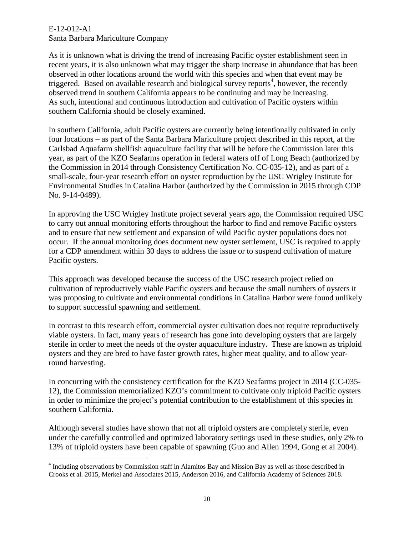As it is unknown what is driving the trend of increasing Pacific oyster establishment seen in recent years, it is also unknown what may trigger the sharp increase in abundance that has been observed in other locations around the world with this species and when that event may be triggered. Based on available research and biological survey reports<sup>4</sup>, however, the recently observed trend in southern California appears to be continuing and may be increasing. As such, intentional and continuous introduction and cultivation of Pacific oysters within southern California should be closely examined.

In southern California, adult Pacific oysters are currently being intentionally cultivated in only four locations – as part of the Santa Barbara Mariculture project described in this report, at the Carlsbad Aquafarm shellfish aquaculture facility that will be before the Commission later this year, as part of the KZO Seafarms operation in federal waters off of Long Beach (authorized by the Commission in 2014 through Consistency Certification No. CC-035-12), and as part of a small-scale, four-year research effort on oyster reproduction by the USC Wrigley Institute for Environmental Studies in Catalina Harbor (authorized by the Commission in 2015 through CDP No. 9-14-0489).

In approving the USC Wrigley Institute project several years ago, the Commission required USC to carry out annual monitoring efforts throughout the harbor to find and remove Pacific oysters and to ensure that new settlement and expansion of wild Pacific oyster populations does not occur. If the annual monitoring does document new oyster settlement, USC is required to apply for a CDP amendment within 30 days to address the issue or to suspend cultivation of mature Pacific oysters.

This approach was developed because the success of the USC research project relied on cultivation of reproductively viable Pacific oysters and because the small numbers of oysters it was proposing to cultivate and environmental conditions in Catalina Harbor were found unlikely to support successful spawning and settlement.

In contrast to this research effort, commercial oyster cultivation does not require reproductively viable oysters. In fact, many years of research has gone into developing oysters that are largely sterile in order to meet the needs of the oyster aquaculture industry. These are known as triploid oysters and they are bred to have faster growth rates, higher meat quality, and to allow yearround harvesting.

In concurring with the consistency certification for the KZO Seafarms project in 2014 (CC-035- 12), the Commission memorialized KZO's commitment to cultivate only triploid Pacific oysters in order to minimize the project's potential contribution to the establishment of this species in southern California.

Although several studies have shown that not all triploid oysters are completely sterile, even under the carefully controlled and optimized laboratory settings used in these studies, only 2% to 13% of triploid oysters have been capable of spawning (Guo and Allen 1994, Gong et al 2004).

 $\overline{a}$ <sup>4</sup> Including observations by Commission staff in Alamitos Bay and Mission Bay as well as those described in Crooks et al. 2015, Merkel and Associates 2015, Anderson 2016, and California Academy of Sciences 2018.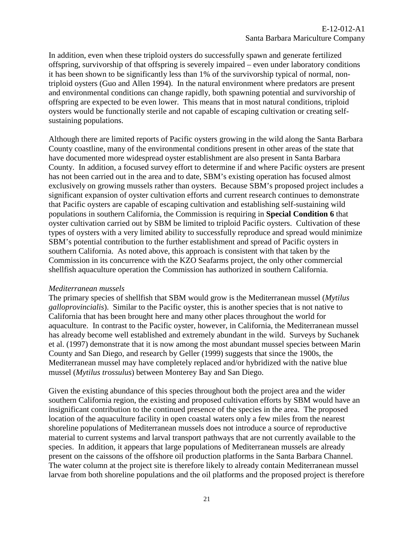In addition, even when these triploid oysters do successfully spawn and generate fertilized offspring, survivorship of that offspring is severely impaired – even under laboratory conditions it has been shown to be significantly less than 1% of the survivorship typical of normal, nontriploid oysters (Guo and Allen 1994). In the natural environment where predators are present and environmental conditions can change rapidly, both spawning potential and survivorship of offspring are expected to be even lower. This means that in most natural conditions, triploid oysters would be functionally sterile and not capable of escaping cultivation or creating selfsustaining populations.

Although there are limited reports of Pacific oysters growing in the wild along the Santa Barbara County coastline, many of the environmental conditions present in other areas of the state that have documented more widespread oyster establishment are also present in Santa Barbara County. In addition, a focused survey effort to determine if and where Pacific oysters are present has not been carried out in the area and to date, SBM's existing operation has focused almost exclusively on growing mussels rather than oysters. Because SBM's proposed project includes a significant expansion of oyster cultivation efforts and current research continues to demonstrate that Pacific oysters are capable of escaping cultivation and establishing self-sustaining wild populations in southern California, the Commission is requiring in **Special Condition 6** that oyster cultivation carried out by SBM be limited to triploid Pacific oysters. Cultivation of these types of oysters with a very limited ability to successfully reproduce and spread would minimize SBM's potential contribution to the further establishment and spread of Pacific oysters in southern California. As noted above, this approach is consistent with that taken by the Commission in its concurrence with the KZO Seafarms project, the only other commercial shellfish aquaculture operation the Commission has authorized in southern California.

#### *Mediterranean mussels*

The primary species of shellfish that SBM would grow is the Mediterranean mussel (*Mytilus galloprovincialis*). Similar to the Pacific oyster, this is another species that is not native to California that has been brought here and many other places throughout the world for aquaculture. In contrast to the Pacific oyster, however, in California, the Mediterranean mussel has already become well established and extremely abundant in the wild. Surveys by Suchanek et al. (1997) demonstrate that it is now among the most abundant mussel species between Marin County and San Diego, and research by Geller (1999) suggests that since the 1900s, the Mediterranean mussel may have completely replaced and/or hybridized with the native blue mussel (*Mytilus trossulus*) between Monterey Bay and San Diego.

Given the existing abundance of this species throughout both the project area and the wider southern California region, the existing and proposed cultivation efforts by SBM would have an insignificant contribution to the continued presence of the species in the area. The proposed location of the aquaculture facility in open coastal waters only a few miles from the nearest shoreline populations of Mediterranean mussels does not introduce a source of reproductive material to current systems and larval transport pathways that are not currently available to the species. In addition, it appears that large populations of Mediterranean mussels are already present on the caissons of the offshore oil production platforms in the Santa Barbara Channel. The water column at the project site is therefore likely to already contain Mediterranean mussel larvae from both shoreline populations and the oil platforms and the proposed project is therefore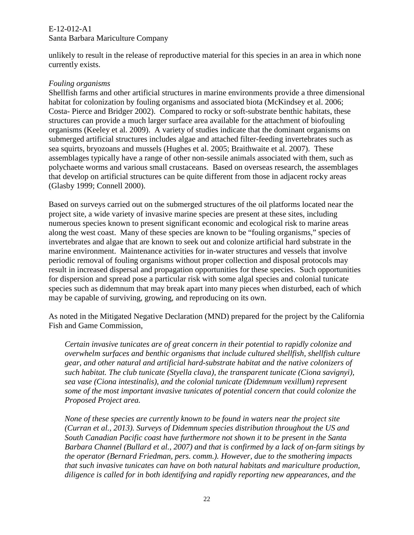unlikely to result in the release of reproductive material for this species in an area in which none currently exists.

### *Fouling organisms*

Shellfish farms and other artificial structures in marine environments provide a three dimensional habitat for colonization by fouling organisms and associated biota (McKindsey et al. 2006; Costa- Pierce and Bridger 2002). Compared to rocky or soft-substrate benthic habitats, these structures can provide a much larger surface area available for the attachment of biofouling organisms (Keeley et al. 2009). A variety of studies indicate that the dominant organisms on submerged artificial structures includes algae and attached filter-feeding invertebrates such as sea squirts, bryozoans and mussels (Hughes et al. 2005; Braithwaite et al. 2007). These assemblages typically have a range of other non-sessile animals associated with them, such as polychaete worms and various small crustaceans. Based on overseas research, the assemblages that develop on artificial structures can be quite different from those in adjacent rocky areas (Glasby 1999; Connell 2000).

Based on surveys carried out on the submerged structures of the oil platforms located near the project site, a wide variety of invasive marine species are present at these sites, including numerous species known to present significant economic and ecological risk to marine areas along the west coast. Many of these species are known to be "fouling organisms," species of invertebrates and algae that are known to seek out and colonize artificial hard substrate in the marine environment. Maintenance activities for in-water structures and vessels that involve periodic removal of fouling organisms without proper collection and disposal protocols may result in increased dispersal and propagation opportunities for these species. Such opportunities for dispersion and spread pose a particular risk with some algal species and colonial tunicate species such as didemnum that may break apart into many pieces when disturbed, each of which may be capable of surviving, growing, and reproducing on its own.

As noted in the Mitigated Negative Declaration (MND) prepared for the project by the California Fish and Game Commission,

*Certain invasive tunicates are of great concern in their potential to rapidly colonize and overwhelm surfaces and benthic organisms that include cultured shellfish, shellfish culture gear, and other natural and artificial hard-substrate habitat and the native colonizers of such habitat. The club tunicate (Styella clava), the transparent tunicate (Ciona savignyi), sea vase (Ciona intestinalis), and the colonial tunicate (Didemnum vexillum) represent some of the most important invasive tunicates of potential concern that could colonize the Proposed Project area.* 

*None of these species are currently known to be found in waters near the project site (Curran et al., 2013). Surveys of Didemnum species distribution throughout the US and South Canadian Pacific coast have furthermore not shown it to be present in the Santa Barbara Channel (Bullard et al., 2007) and that is confirmed by a lack of on-farm sitings by the operator (Bernard Friedman, pers. comm.). However, due to the smothering impacts that such invasive tunicates can have on both natural habitats and mariculture production, diligence is called for in both identifying and rapidly reporting new appearances, and the*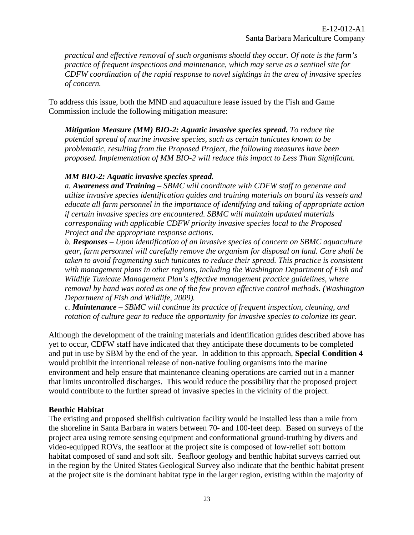*practical and effective removal of such organisms should they occur. Of note is the farm's practice of frequent inspections and maintenance, which may serve as a sentinel site for CDFW coordination of the rapid response to novel sightings in the area of invasive species of concern.* 

To address this issue, both the MND and aquaculture lease issued by the Fish and Game Commission include the following mitigation measure:

*Mitigation Measure (MM) BIO-2: Aquatic invasive species spread. To reduce the potential spread of marine invasive species, such as certain tunicates known to be problematic, resulting from the Proposed Project, the following measures have been proposed. Implementation of MM BIO-2 will reduce this impact to Less Than Significant.* 

#### *MM BIO-2: Aquatic invasive species spread.*

*a. Awareness and Training – SBMC will coordinate with CDFW staff to generate and utilize invasive species identification guides and training materials on board its vessels and educate all farm personnel in the importance of identifying and taking of appropriate action if certain invasive species are encountered. SBMC will maintain updated materials corresponding with applicable CDFW priority invasive species local to the Proposed Project and the appropriate response actions.* 

*b. Responses – Upon identification of an invasive species of concern on SBMC aquaculture gear, farm personnel will carefully remove the organism for disposal on land. Care shall be taken to avoid fragmenting such tunicates to reduce their spread. This practice is consistent with management plans in other regions, including the Washington Department of Fish and Wildlife Tunicate Management Plan's effective management practice guidelines, where removal by hand was noted as one of the few proven effective control methods. (Washington Department of Fish and Wildlife, 2009).* 

*c. Maintenance – SBMC will continue its practice of frequent inspection, cleaning, and rotation of culture gear to reduce the opportunity for invasive species to colonize its gear.* 

Although the development of the training materials and identification guides described above has yet to occur, CDFW staff have indicated that they anticipate these documents to be completed and put in use by SBM by the end of the year. In addition to this approach, **Special Condition 4** would prohibit the intentional release of non-native fouling organisms into the marine environment and help ensure that maintenance cleaning operations are carried out in a manner that limits uncontrolled discharges. This would reduce the possibility that the proposed project would contribute to the further spread of invasive species in the vicinity of the project.

### **Benthic Habitat**

The existing and proposed shellfish cultivation facility would be installed less than a mile from the shoreline in Santa Barbara in waters between 70- and 100-feet deep. Based on surveys of the project area using remote sensing equipment and conformational ground-truthing by divers and video-equipped ROVs, the seafloor at the project site is composed of low-relief soft bottom habitat composed of sand and soft silt. Seafloor geology and benthic habitat surveys carried out in the region by the United States Geological Survey also indicate that the benthic habitat present at the project site is the dominant habitat type in the larger region, existing within the majority of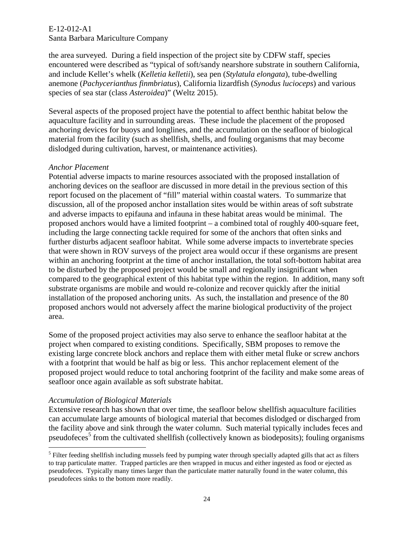#### E-12-012-A1

### Santa Barbara Mariculture Company

the area surveyed. During a field inspection of the project site by CDFW staff, species encountered were described as "typical of soft/sandy nearshore substrate in southern California, and include Kellet's whelk (*Kelletia kelletii*), sea pen (*Stylatula elongata*), tube-dwelling anemone (*Pachycerianthus finmbriatus*), California lizardfish (*Synodus lucioceps*) and various species of sea star (class *Asteroidea*)" (Weltz 2015).

Several aspects of the proposed project have the potential to affect benthic habitat below the aquaculture facility and in surrounding areas. These include the placement of the proposed anchoring devices for buoys and longlines, and the accumulation on the seafloor of biological material from the facility (such as shellfish, shells, and fouling organisms that may become dislodged during cultivation, harvest, or maintenance activities).

#### *Anchor Placement*

Potential adverse impacts to marine resources associated with the proposed installation of anchoring devices on the seafloor are discussed in more detail in the previous section of this report focused on the placement of "fill" material within coastal waters. To summarize that discussion, all of the proposed anchor installation sites would be within areas of soft substrate and adverse impacts to epifauna and infauna in these habitat areas would be minimal. The proposed anchors would have a limited footprint – a combined total of roughly 400-square feet, including the large connecting tackle required for some of the anchors that often sinks and further disturbs adjacent seafloor habitat. While some adverse impacts to invertebrate species that were shown in ROV surveys of the project area would occur if these organisms are present within an anchoring footprint at the time of anchor installation, the total soft-bottom habitat area to be disturbed by the proposed project would be small and regionally insignificant when compared to the geographical extent of this habitat type within the region. In addition, many soft substrate organisms are mobile and would re-colonize and recover quickly after the initial installation of the proposed anchoring units. As such, the installation and presence of the 80 proposed anchors would not adversely affect the marine biological productivity of the project area.

Some of the proposed project activities may also serve to enhance the seafloor habitat at the project when compared to existing conditions. Specifically, SBM proposes to remove the existing large concrete block anchors and replace them with either metal fluke or screw anchors with a footprint that would be half as big or less. This anchor replacement element of the proposed project would reduce to total anchoring footprint of the facility and make some areas of seafloor once again available as soft substrate habitat.

#### *Accumulation of Biological Materials*

 $\overline{a}$ 

Extensive research has shown that over time, the seafloor below shellfish aquaculture facilities can accumulate large amounts of biological material that becomes dislodged or discharged from the facility above and sink through the water column. Such material typically includes feces and pseudofeces<sup>5</sup> from the cultivated shellfish (collectively known as biodeposits); fouling organisms

<sup>&</sup>lt;sup>5</sup> Filter feeding shellfish including mussels feed by pumping water through specially adapted gills that act as filters to trap particulate matter. Trapped particles are then wrapped in mucus and either ingested as food or ejected as pseudofeces. Typically many times larger than the particulate matter naturally found in the water column, this pseudofeces sinks to the bottom more readily.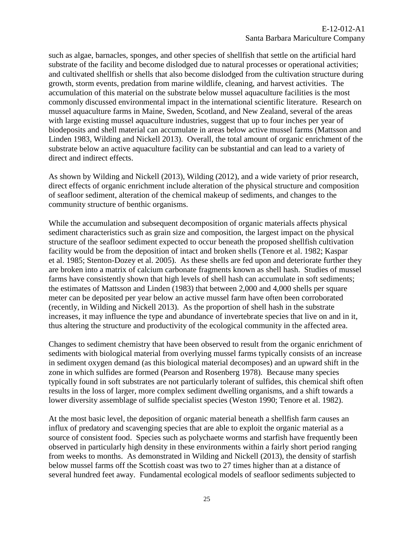such as algae, barnacles, sponges, and other species of shellfish that settle on the artificial hard substrate of the facility and become dislodged due to natural processes or operational activities; and cultivated shellfish or shells that also become dislodged from the cultivation structure during growth, storm events, predation from marine wildlife, cleaning, and harvest activities. The accumulation of this material on the substrate below mussel aquaculture facilities is the most commonly discussed environmental impact in the international scientific literature. Research on mussel aquaculture farms in Maine, Sweden, Scotland, and New Zealand, several of the areas with large existing mussel aquaculture industries, suggest that up to four inches per year of biodeposits and shell material can accumulate in areas below active mussel farms (Mattsson and Linden 1983, Wilding and Nickell 2013). Overall, the total amount of organic enrichment of the substrate below an active aquaculture facility can be substantial and can lead to a variety of direct and indirect effects.

As shown by Wilding and Nickell (2013), Wilding (2012), and a wide variety of prior research, direct effects of organic enrichment include alteration of the physical structure and composition of seafloor sediment, alteration of the chemical makeup of sediments, and changes to the community structure of benthic organisms.

While the accumulation and subsequent decomposition of organic materials affects physical sediment characteristics such as grain size and composition, the largest impact on the physical structure of the seafloor sediment expected to occur beneath the proposed shellfish cultivation facility would be from the deposition of intact and broken shells (Tenore et al. 1982; Kaspar et al. 1985; Stenton-Dozey et al. 2005). As these shells are fed upon and deteriorate further they are broken into a matrix of calcium carbonate fragments known as shell hash. Studies of mussel farms have consistently shown that high levels of shell hash can accumulate in soft sediments; the estimates of Mattsson and Linden (1983) that between 2,000 and 4,000 shells per square meter can be deposited per year below an active mussel farm have often been corroborated (recently, in Wilding and Nickell 2013). As the proportion of shell hash in the substrate increases, it may influence the type and abundance of invertebrate species that live on and in it, thus altering the structure and productivity of the ecological community in the affected area.

Changes to sediment chemistry that have been observed to result from the organic enrichment of sediments with biological material from overlying mussel farms typically consists of an increase in sediment oxygen demand (as this biological material decomposes) and an upward shift in the zone in which sulfides are formed (Pearson and Rosenberg 1978). Because many species typically found in soft substrates are not particularly tolerant of sulfides, this chemical shift often results in the loss of larger, more complex sediment dwelling organisms, and a shift towards a lower diversity assemblage of sulfide specialist species (Weston 1990; Tenore et al. 1982).

At the most basic level, the deposition of organic material beneath a shellfish farm causes an influx of predatory and scavenging species that are able to exploit the organic material as a source of consistent food. Species such as polychaete worms and starfish have frequently been observed in particularly high density in these environments within a fairly short period ranging from weeks to months. As demonstrated in Wilding and Nickell (2013), the density of starfish below mussel farms off the Scottish coast was two to 27 times higher than at a distance of several hundred feet away. Fundamental ecological models of seafloor sediments subjected to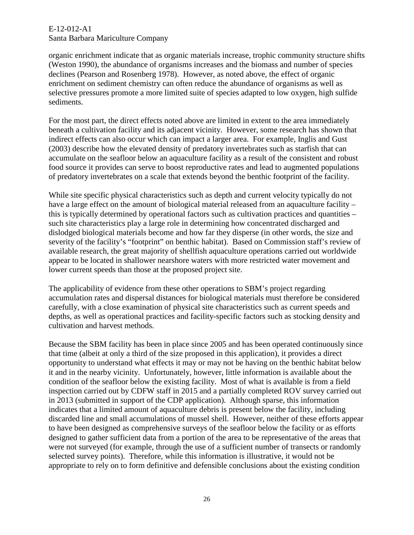organic enrichment indicate that as organic materials increase, trophic community structure shifts (Weston 1990), the abundance of organisms increases and the biomass and number of species declines (Pearson and Rosenberg 1978). However, as noted above, the effect of organic enrichment on sediment chemistry can often reduce the abundance of organisms as well as selective pressures promote a more limited suite of species adapted to low oxygen, high sulfide sediments.

For the most part, the direct effects noted above are limited in extent to the area immediately beneath a cultivation facility and its adjacent vicinity. However, some research has shown that indirect effects can also occur which can impact a larger area. For example, Inglis and Gust (2003) describe how the elevated density of predatory invertebrates such as starfish that can accumulate on the seafloor below an aquaculture facility as a result of the consistent and robust food source it provides can serve to boost reproductive rates and lead to augmented populations of predatory invertebrates on a scale that extends beyond the benthic footprint of the facility.

While site specific physical characteristics such as depth and current velocity typically do not have a large effect on the amount of biological material released from an aquaculture facility – this is typically determined by operational factors such as cultivation practices and quantities – such site characteristics play a large role in determining how concentrated discharged and dislodged biological materials become and how far they disperse (in other words, the size and severity of the facility's "footprint" on benthic habitat). Based on Commission staff's review of available research, the great majority of shellfish aquaculture operations carried out worldwide appear to be located in shallower nearshore waters with more restricted water movement and lower current speeds than those at the proposed project site.

The applicability of evidence from these other operations to SBM's project regarding accumulation rates and dispersal distances for biological materials must therefore be considered carefully, with a close examination of physical site characteristics such as current speeds and depths, as well as operational practices and facility-specific factors such as stocking density and cultivation and harvest methods.

Because the SBM facility has been in place since 2005 and has been operated continuously since that time (albeit at only a third of the size proposed in this application), it provides a direct opportunity to understand what effects it may or may not be having on the benthic habitat below it and in the nearby vicinity. Unfortunately, however, little information is available about the condition of the seafloor below the existing facility. Most of what is available is from a field inspection carried out by CDFW staff in 2015 and a partially completed ROV survey carried out in 2013 (submitted in support of the CDP application). Although sparse, this information indicates that a limited amount of aquaculture debris is present below the facility, including discarded line and small accumulations of mussel shell. However, neither of these efforts appear to have been designed as comprehensive surveys of the seafloor below the facility or as efforts designed to gather sufficient data from a portion of the area to be representative of the areas that were not surveyed (for example, through the use of a sufficient number of transects or randomly selected survey points). Therefore, while this information is illustrative, it would not be appropriate to rely on to form definitive and defensible conclusions about the existing condition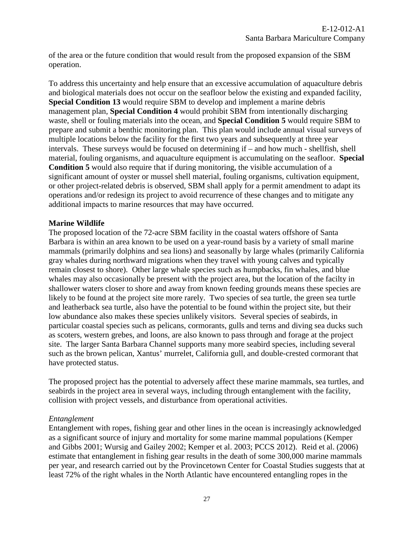of the area or the future condition that would result from the proposed expansion of the SBM operation.

To address this uncertainty and help ensure that an excessive accumulation of aquaculture debris and biological materials does not occur on the seafloor below the existing and expanded facility, **Special Condition 13** would require SBM to develop and implement a marine debris management plan, **Special Condition 4** would prohibit SBM from intentionally discharging waste, shell or fouling materials into the ocean, and **Special Condition 5** would require SBM to prepare and submit a benthic monitoring plan. This plan would include annual visual surveys of multiple locations below the facility for the first two years and subsequently at three year intervals. These surveys would be focused on determining if – and how much - shellfish, shell material, fouling organisms, and aquaculture equipment is accumulating on the seafloor. **Special Condition 5** would also require that if during monitoring, the visible accumulation of a significant amount of oyster or mussel shell material, fouling organisms, cultivation equipment, or other project-related debris is observed, SBM shall apply for a permit amendment to adapt its operations and/or redesign its project to avoid recurrence of these changes and to mitigate any additional impacts to marine resources that may have occurred.

#### **Marine Wildlife**

The proposed location of the 72-acre SBM facility in the coastal waters offshore of Santa Barbara is within an area known to be used on a year-round basis by a variety of small marine mammals (primarily dolphins and sea lions) and seasonally by large whales (primarily California gray whales during northward migrations when they travel with young calves and typically remain closest to shore). Other large whale species such as humpbacks, fin whales, and blue whales may also occasionally be present with the project area, but the location of the facilty in shallower waters closer to shore and away from known feeding grounds means these species are likely to be found at the project site more rarely. Two species of sea turtle, the green sea turtle and leatherback sea turtle, also have the potential to be found within the project site, but their low abundance also makes these species unlikely visitors. Several species of seabirds, in particular coastal species such as pelicans, cormorants, gulls and terns and diving sea ducks such as scoters, western grebes, and loons, are also known to pass through and forage at the project site. The larger Santa Barbara Channel supports many more seabird species, including several such as the brown pelican, Xantus' murrelet, California gull, and double-crested cormorant that have protected status.

The proposed project has the potential to adversely affect these marine mammals, sea turtles, and seabirds in the project area in several ways, including through entanglement with the facility, collision with project vessels, and disturbance from operational activities.

#### *Entanglement*

Entanglement with ropes, fishing gear and other lines in the ocean is increasingly acknowledged as a significant source of injury and mortality for some marine mammal populations (Kemper and Gibbs 2001; Wursig and Gailey 2002; Kemper et al. 2003; PCCS 2012). Reid et al. (2006) estimate that entanglement in fishing gear results in the death of some 300,000 marine mammals per year, and research carried out by the Provincetown Center for Coastal Studies suggests that at least 72% of the right whales in the North Atlantic have encountered entangling ropes in the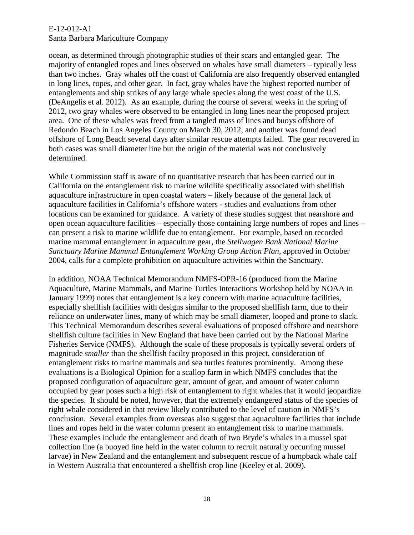### E-12-012-A1

#### Santa Barbara Mariculture Company

ocean, as determined through photographic studies of their scars and entangled gear. The majority of entangled ropes and lines observed on whales have small diameters – typically less than two inches. Gray whales off the coast of California are also frequently observed entangled in long lines, ropes, and other gear. In fact, gray whales have the highest reported number of entanglements and ship strikes of any large whale species along the west coast of the U.S. (DeAngelis et al. 2012). As an example, during the course of several weeks in the spring of 2012, two gray whales were observed to be entangled in long lines near the proposed project area. One of these whales was freed from a tangled mass of lines and buoys offshore of Redondo Beach in Los Angeles County on March 30, 2012, and another was found dead offshore of Long Beach several days after similar rescue attempts failed. The gear recovered in both cases was small diameter line but the origin of the material was not conclusively determined.

While Commission staff is aware of no quantitative research that has been carried out in California on the entanglement risk to marine wildlife specifically associated with shellfish aquaculture infrastructure in open coastal waters – likely because of the general lack of aquaculture facilities in California's offshore waters - studies and evaluations from other locations can be examined for guidance. A variety of these studies suggest that nearshore and open ocean aquaculture facilities – especially those containing large numbers of ropes and lines – can present a risk to marine wildlife due to entanglement. For example, based on recorded marine mammal entanglement in aquaculture gear, the *Stellwagen Bank National Marine Sanctuary Marine Mammal Entanglement Working Group Action Plan*, approved in October 2004, calls for a complete prohibition on aquaculture activities within the Sanctuary.

In addition, NOAA Technical Memorandum NMFS-OPR-16 (produced from the Marine Aquaculture, Marine Mammals, and Marine Turtles Interactions Workshop held by NOAA in January 1999) notes that entanglement is a key concern with marine aquaculture facilities, especially shellfish facilities with designs similar to the proposed shellfish farm, due to their reliance on underwater lines, many of which may be small diameter, looped and prone to slack. This Technical Memorandum describes several evaluations of proposed offshore and nearshore shellfish culture facilities in New England that have been carried out by the National Marine Fisheries Service (NMFS). Although the scale of these proposals is typically several orders of magnitude *smaller* than the shellfish facilty proposed in this project, consideration of entanglement risks to marine mammals and sea turtles features prominently. Among these evaluations is a Biological Opinion for a scallop farm in which NMFS concludes that the proposed configuration of aquaculture gear, amount of gear, and amount of water column occupied by gear poses such a high risk of entanglement to right whales that it would jeopardize the species. It should be noted, however, that the extremely endangered status of the species of right whale considered in that review likely contributed to the level of caution in NMFS's conclusion. Several examples from overseas also suggest that aquaculture facilities that include lines and ropes held in the water column present an entanglement risk to marine mammals. These examples include the entanglement and death of two Bryde's whales in a mussel spat collection line (a buoyed line held in the water column to recruit naturally occurring mussel larvae) in New Zealand and the entanglement and subsequent rescue of a humpback whale calf in Western Australia that encountered a shellfish crop line (Keeley et al. 2009).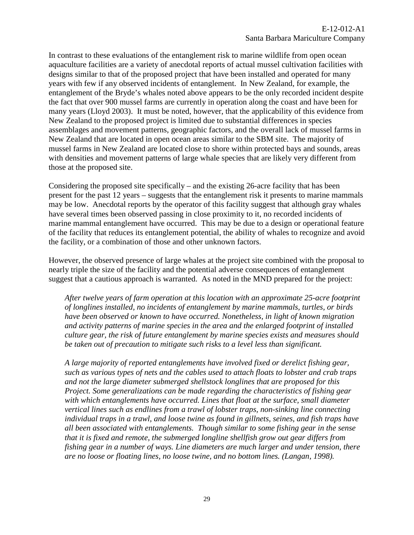In contrast to these evaluations of the entanglement risk to marine wildlife from open ocean aquaculture facilities are a variety of anecdotal reports of actual mussel cultivation facilities with designs similar to that of the proposed project that have been installed and operated for many years with few if any observed incidents of entanglement. In New Zealand, for example, the entanglement of the Bryde's whales noted above appears to be the only recorded incident despite the fact that over 900 mussel farms are currently in operation along the coast and have been for many years (Lloyd 2003). It must be noted, however, that the applicability of this evidence from New Zealand to the proposed project is limited due to substantial differences in species assemblages and movement patterns, geographic factors, and the overall lack of mussel farms in New Zealand that are located in open ocean areas similar to the SBM site. The majority of mussel farms in New Zealand are located close to shore within protected bays and sounds, areas with densities and movement patterns of large whale species that are likely very different from those at the proposed site.

Considering the proposed site specifically – and the existing 26-acre facility that has been present for the past 12 years – suggests that the entanglement risk it presents to marine mammals may be low. Anecdotal reports by the operator of this facility suggest that although gray whales have several times been observed passing in close proximity to it, no recorded incidents of marine mammal entanglement have occurred. This may be due to a design or operational feature of the facility that reduces its entanglement potential, the ability of whales to recognize and avoid the facility, or a combination of those and other unknown factors.

However, the observed presence of large whales at the project site combined with the proposal to nearly triple the size of the facility and the potential adverse consequences of entanglement suggest that a cautious approach is warranted. As noted in the MND prepared for the project:

*After twelve years of farm operation at this location with an approximate 25-acre footprint of longlines installed, no incidents of entanglement by marine mammals, turtles, or birds have been observed or known to have occurred. Nonetheless, in light of known migration and activity patterns of marine species in the area and the enlarged footprint of installed culture gear, the risk of future entanglement by marine species exists and measures should be taken out of precaution to mitigate such risks to a level less than significant.*

*A large majority of reported entanglements have involved fixed or derelict fishing gear, such as various types of nets and the cables used to attach floats to lobster and crab traps and not the large diameter submerged shellstock longlines that are proposed for this Project. Some generalizations can be made regarding the characteristics of fishing gear with which entanglements have occurred. Lines that float at the surface, small diameter vertical lines such as endlines from a trawl of lobster traps, non-sinking line connecting individual traps in a trawl, and loose twine as found in gillnets, seines, and fish traps have all been associated with entanglements. Though similar to some fishing gear in the sense that it is fixed and remote, the submerged longline shellfish grow out gear differs from fishing gear in a number of ways. Line diameters are much larger and under tension, there are no loose or floating lines, no loose twine, and no bottom lines. (Langan, 1998).*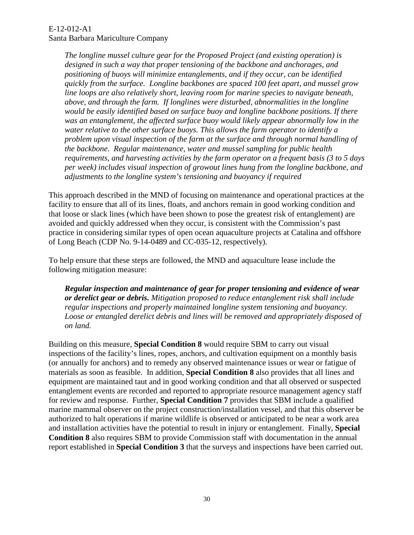*The longline mussel culture gear for the Proposed Project (and existing operation) is designed in such a way that proper tensioning of the backbone and anchorages, and positioning of buoys will minimize entanglements, and if they occur, can be identified quickly from the surface. Longline backbones are spaced 100 feet apart, and mussel grow line loops are also relatively short, leaving room for marine species to navigate beneath, above, and through the farm. If longlines were disturbed, abnormalities in the longline would be easily identified based on surface buoy and longline backbone positions. If there*  was an entanglement, the affected surface buoy would likely appear abnormally low in the *water relative to the other surface buoys. This allows the farm operator to identify a problem upon visual inspection of the farm at the surface and through normal handling of the backbone. Regular maintenance, water and mussel sampling for public health requirements, and harvesting activities by the farm operator on a frequent basis (3 to 5 days per week) includes visual inspection of growout lines hung from the longline backbone, and adjustments to the longline system's tensioning and buoyancy if required*

This approach described in the MND of focusing on maintenance and operational practices at the facility to ensure that all of its lines, floats, and anchors remain in good working condition and that loose or slack lines (which have been shown to pose the greatest risk of entanglement) are avoided and quickly addressed when they occur, is consistent with the Commission's past practice in considering similar types of open ocean aquaculture projects at Catalina and offshore of Long Beach (CDP No. 9-14-0489 and CC-035-12, respectively).

To help ensure that these steps are followed, the MND and aquaculture lease include the following mitigation measure:

*Regular inspection and maintenance of gear for proper tensioning and evidence of wear or derelict gear or debris. Mitigation proposed to reduce entanglement risk shall include regular inspections and properly maintained longline system tensioning and buoyancy. Loose or entangled derelict debris and lines will be removed and appropriately disposed of on land.* 

Building on this measure, **Special Condition 8** would require SBM to carry out visual inspections of the facility's lines, ropes, anchors, and cultivation equipment on a monthly basis (or annually for anchors) and to remedy any observed maintenance issues or wear or fatigue of materials as soon as feasible. In addition, **Special Condition 8** also provides that all lines and equipment are maintained taut and in good working condition and that all observed or suspected entanglement events are recorded and reported to appropriate resource management agency staff for review and response. Further, **Special Condition 7** provides that SBM include a qualified marine mammal observer on the project construction/installation vessel, and that this observer be authorized to halt operations if marine wildlife is observed or anticipated to be near a work area and installation activities have the potential to result in injury or entanglement. Finally, **Special Condition 8** also requires SBM to provide Commission staff with documentation in the annual report established in **Special Condition 3** that the surveys and inspections have been carried out.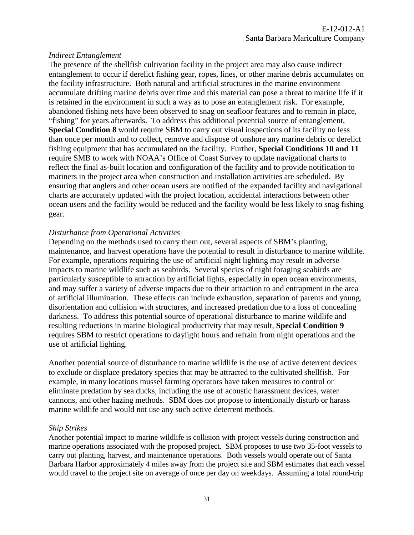#### *Indirect Entanglement*

The presence of the shellfish cultivation facility in the project area may also cause indirect entanglement to occur if derelict fishing gear, ropes, lines, or other marine debris accumulates on the facility infrastructure. Both natural and artificial structures in the marine environment accumulate drifting marine debris over time and this material can pose a threat to marine life if it is retained in the environment in such a way as to pose an entanglement risk. For example, abandoned fishing nets have been observed to snag on seafloor features and to remain in place, "fishing" for years afterwards. To address this additional potential source of entanglement, **Special Condition 8** would require SBM to carry out visual inspections of its facility no less than once per month and to collect, remove and dispose of onshore any marine debris or derelict fishing equipment that has accumulated on the facility. Further, **Special Conditions 10 and 11** require SMB to work with NOAA's Office of Coast Survey to update navigational charts to reflect the final as-built location and configuration of the facility and to provide notification to mariners in the project area when construction and installation activities are scheduled. By ensuring that anglers and other ocean users are notified of the expanded facility and navigational charts are accurately updated with the project location, accidental interactions between other ocean users and the facility would be reduced and the facility would be less likely to snag fishing gear.

#### *Disturbance from Operational Activities*

Depending on the methods used to carry them out, several aspects of SBM's planting, maintenance, and harvest operations have the potential to result in disturbance to marine wildlife. For example, operations requiring the use of artificial night lighting may result in adverse impacts to marine wildlife such as seabirds. Several species of night foraging seabirds are particularly susceptible to attraction by artificial lights, especially in open ocean environments, and may suffer a variety of adverse impacts due to their attraction to and entrapment in the area of artificial illumination. These effects can include exhaustion, separation of parents and young, disorientation and collision with structures, and increased predation due to a loss of concealing darkness. To address this potential source of operational disturbance to marine wildlife and resulting reductions in marine biological productivity that may result, **Special Condition 9** requires SBM to restrict operations to daylight hours and refrain from night operations and the use of artificial lighting.

Another potential source of disturbance to marine wildlife is the use of active deterrent devices to exclude or displace predatory species that may be attracted to the cultivated shellfish. For example, in many locations mussel farming operators have taken measures to control or eliminate predation by sea ducks, including the use of acoustic harassment devices, water cannons, and other hazing methods. SBM does not propose to intentionally disturb or harass marine wildlife and would not use any such active deterrent methods.

#### *Ship Strikes*

Another potential impact to marine wildlife is collision with project vessels during construction and marine operations associated with the proposed project. SBM proposes to use two 35-foot vessels to carry out planting, harvest, and maintenance operations. Both vessels would operate out of Santa Barbara Harbor approximately 4 miles away from the project site and SBM estimates that each vessel would travel to the project site on average of once per day on weekdays. Assuming a total round-trip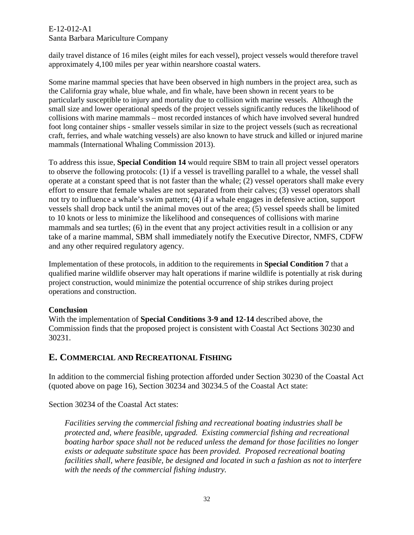#### E-12-012-A1

### Santa Barbara Mariculture Company

daily travel distance of 16 miles (eight miles for each vessel), project vessels would therefore travel approximately 4,100 miles per year within nearshore coastal waters.

Some marine mammal species that have been observed in high numbers in the project area, such as the California gray whale, blue whale, and fin whale, have been shown in recent years to be particularly susceptible to injury and mortality due to collision with marine vessels. Although the small size and lower operational speeds of the project vessels significantly reduces the likelihood of collisions with marine mammals – most recorded instances of which have involved several hundred foot long container ships - smaller vessels similar in size to the project vessels (such as recreational craft, ferries, and whale watching vessels) are also known to have struck and killed or injured marine mammals (International Whaling Commission 2013).

To address this issue, **Special Condition 14** would require SBM to train all project vessel operators to observe the following protocols: (1) if a vessel is travelling parallel to a whale, the vessel shall operate at a constant speed that is not faster than the whale; (2) vessel operators shall make every effort to ensure that female whales are not separated from their calves; (3) vessel operators shall not try to influence a whale's swim pattern; (4) if a whale engages in defensive action, support vessels shall drop back until the animal moves out of the area; (5) vessel speeds shall be limited to 10 knots or less to minimize the likelihood and consequences of collisions with marine mammals and sea turtles; (6) in the event that any project activities result in a collision or any take of a marine mammal, SBM shall immediately notify the Executive Director, NMFS, CDFW and any other required regulatory agency.

Implementation of these protocols, in addition to the requirements in **Special Condition 7** that a qualified marine wildlife observer may halt operations if marine wildlife is potentially at risk during project construction, would minimize the potential occurrence of ship strikes during project operations and construction.

### **Conclusion**

With the implementation of **Special Conditions 3-9 and 12-14** described above, the Commission finds that the proposed project is consistent with Coastal Act Sections 30230 and 30231.

## <span id="page-31-0"></span>**E. COMMERCIAL AND RECREATIONAL FISHING**

In addition to the commercial fishing protection afforded under Section 30230 of the Coastal Act (quoted above on page 16), Section 30234 and 30234.5 of the Coastal Act state:

Section 30234 of the Coastal Act states:

*Facilities serving the commercial fishing and recreational boating industries shall be protected and, where feasible, upgraded. Existing commercial fishing and recreational boating harbor space shall not be reduced unless the demand for those facilities no longer exists or adequate substitute space has been provided. Proposed recreational boating facilities shall, where feasible, be designed and located in such a fashion as not to interfere with the needs of the commercial fishing industry.*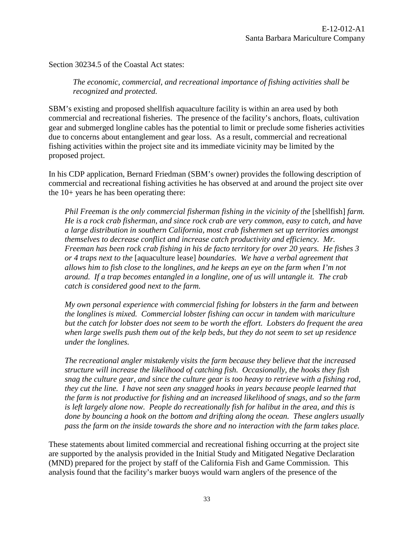Section 30234.5 of the Coastal Act states:

*The economic, commercial, and recreational importance of fishing activities shall be recognized and protected.* 

SBM's existing and proposed shellfish aquaculture facility is within an area used by both commercial and recreational fisheries. The presence of the facility's anchors, floats, cultivation gear and submerged longline cables has the potential to limit or preclude some fisheries activities due to concerns about entanglement and gear loss. As a result, commercial and recreational fishing activities within the project site and its immediate vicinity may be limited by the proposed project.

In his CDP application, Bernard Friedman (SBM's owner) provides the following description of commercial and recreational fishing activities he has observed at and around the project site over the 10+ years he has been operating there:

*Phil Freeman is the only commercial fisherman fishing in the vicinity of the* [shellfish] *farm. He is a rock crab fisherman, and since rock crab are very common, easy to catch, and have a large distribution in southern California, most crab fishermen set up territories amongst themselves to decrease conflict and increase catch productivity and efficiency. Mr. Freeman has been rock crab fishing in his de facto territory for over 20 years. He fishes 3 or 4 traps next to the* [aquaculture lease] *boundaries. We have a verbal agreement that allows him to fish close to the longlines, and he keeps an eye on the farm when I'm not around. If a trap becomes entangled in a longline, one of us will untangle it. The crab catch is considered good next to the farm.* 

*My own personal experience with commercial fishing for lobsters in the farm and between the longlines is mixed. Commercial lobster fishing can occur in tandem with mariculture but the catch for lobster does not seem to be worth the effort. Lobsters do frequent the area when large swells push them out of the kelp beds, but they do not seem to set up residence under the longlines.* 

*The recreational angler mistakenly visits the farm because they believe that the increased structure will increase the likelihood of catching fish. Occasionally, the hooks they fish snag the culture gear, and since the culture gear is too heavy to retrieve with a fishing rod, they cut the line. I have not seen any snagged hooks in years because people learned that the farm is not productive for fishing and an increased likelihood of snags, and so the farm is left largely alone now. People do recreationally fish for halibut in the area, and this is done by bouncing a hook on the bottom and drifting along the ocean. These anglers usually pass the farm on the inside towards the shore and no interaction with the farm takes place.* 

These statements about limited commercial and recreational fishing occurring at the project site are supported by the analysis provided in the Initial Study and Mitigated Negative Declaration (MND) prepared for the project by staff of the California Fish and Game Commission. This analysis found that the facility's marker buoys would warn anglers of the presence of the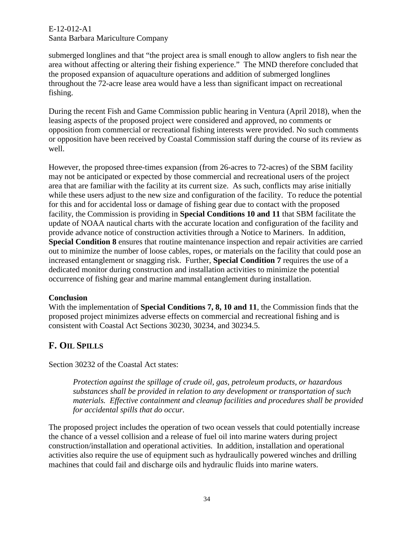submerged longlines and that "the project area is small enough to allow anglers to fish near the area without affecting or altering their fishing experience." The MND therefore concluded that the proposed expansion of aquaculture operations and addition of submerged longlines throughout the 72-acre lease area would have a less than significant impact on recreational fishing.

During the recent Fish and Game Commission public hearing in Ventura (April 2018), when the leasing aspects of the proposed project were considered and approved, no comments or opposition from commercial or recreational fishing interests were provided. No such comments or opposition have been received by Coastal Commission staff during the course of its review as well.

However, the proposed three-times expansion (from 26-acres to 72-acres) of the SBM facility may not be anticipated or expected by those commercial and recreational users of the project area that are familiar with the facility at its current size. As such, conflicts may arise initially while these users adjust to the new size and configuration of the facility. To reduce the potential for this and for accidental loss or damage of fishing gear due to contact with the proposed facility, the Commission is providing in **Special Conditions 10 and 11** that SBM facilitate the update of NOAA nautical charts with the accurate location and configuration of the facility and provide advance notice of construction activities through a Notice to Mariners. In addition, **Special Condition 8** ensures that routine maintenance inspection and repair activities are carried out to minimize the number of loose cables, ropes, or materials on the facility that could pose an increased entanglement or snagging risk. Further, **Special Condition 7** requires the use of a dedicated monitor during construction and installation activities to minimize the potential occurrence of fishing gear and marine mammal entanglement during installation.

#### **Conclusion**

With the implementation of **Special Conditions 7, 8, 10 and 11**, the Commission finds that the proposed project minimizes adverse effects on commercial and recreational fishing and is consistent with Coastal Act Sections 30230, 30234, and 30234.5.

## <span id="page-33-0"></span>**F. OIL SPILLS**

Section 30232 of the Coastal Act states:

*Protection against the spillage of crude oil, gas, petroleum products, or hazardous substances shall be provided in relation to any development or transportation of such materials. Effective containment and cleanup facilities and procedures shall be provided for accidental spills that do occur.* 

The proposed project includes the operation of two ocean vessels that could potentially increase the chance of a vessel collision and a release of fuel oil into marine waters during project construction/installation and operational activities. In addition, installation and operational activities also require the use of equipment such as hydraulically powered winches and drilling machines that could fail and discharge oils and hydraulic fluids into marine waters.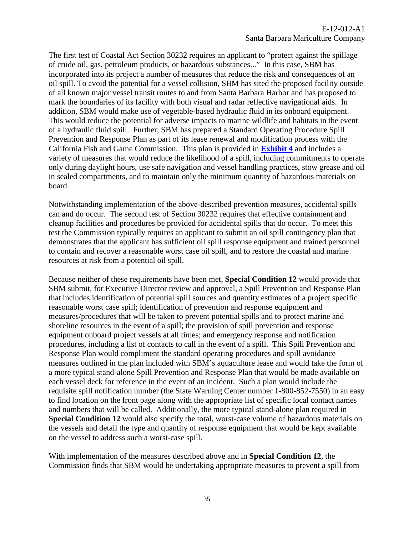The first test of Coastal Act Section 30232 requires an applicant to "protect against the spillage of crude oil, gas, petroleum products, or hazardous substances..." In this case, SBM has incorporated into its project a number of measures that reduce the risk and consequences of an oil spill. To avoid the potential for a vessel collision, SBM has sited the proposed facility outside of all known major vessel transit routes to and from Santa Barbara Harbor and has proposed to mark the boundaries of its facility with both visual and radar reflective navigational aids. In addition, SBM would make use of vegetable-based hydraulic fluid in its onboard equipment. This would reduce the potential for adverse impacts to marine wildlife and habitats in the event of a hydraulic fluid spill. Further, SBM has prepared a Standard Operating Procedure Spill Prevention and Response Plan as part of its lease renewal and modification process with the California Fish and Game Commission. This plan is provided in **[Exhibit 4](https://documents.coastal.ca.gov/reports/2018/7/f11a/f11a-7-2018-exhibits.pdf)** and includes a variety of measures that would reduce the likelihood of a spill, including commitments to operate only during daylight hours, use safe navigation and vessel handling practices, stow grease and oil in sealed compartments, and to maintain only the minimum quantity of hazardous materials on board.

Notwithstanding implementation of the above-described prevention measures, accidental spills can and do occur. The second test of Section 30232 requires that effective containment and cleanup facilities and procedures be provided for accidental spills that do occur. To meet this test the Commission typically requires an applicant to submit an oil spill contingency plan that demonstrates that the applicant has sufficient oil spill response equipment and trained personnel to contain and recover a reasonable worst case oil spill, and to restore the coastal and marine resources at risk from a potential oil spill.

Because neither of these requirements have been met, **Special Condition 12** would provide that SBM submit, for Executive Director review and approval, a Spill Prevention and Response Plan that includes identification of potential spill sources and quantity estimates of a project specific reasonable worst case spill; identification of prevention and response equipment and measures/procedures that will be taken to prevent potential spills and to protect marine and shoreline resources in the event of a spill; the provision of spill prevention and response equipment onboard project vessels at all times; and emergency response and notification procedures, including a list of contacts to call in the event of a spill. This Spill Prevention and Response Plan would compliment the standard operating procedures and spill avoidance measures outlined in the plan included with SBM's aquaculture lease and would take the form of a more typical stand-alone Spill Prevention and Response Plan that would be made available on each vessel deck for reference in the event of an incident. Such a plan would include the requisite spill notification number (the State Warning Center number 1-800-852-7550) in an easy to find location on the front page along with the appropriate list of specific local contact names and numbers that will be called. Additionally, the more typical stand-alone plan required in **Special Condition 12** would also specify the total, worst-case volume of hazardous materials on the vessels and detail the type and quantity of response equipment that would be kept available on the vessel to address such a worst-case spill.

With implementation of the measures described above and in **Special Condition 12**, the Commission finds that SBM would be undertaking appropriate measures to prevent a spill from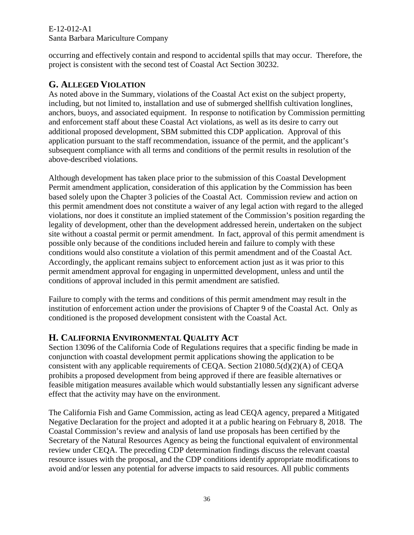## E-12-012-A1

## Santa Barbara Mariculture Company

occurring and effectively contain and respond to accidental spills that may occur. Therefore, the project is consistent with the second test of Coastal Act Section 30232.

## <span id="page-35-0"></span>**G. ALLEGED VIOLATION**

As noted above in the Summary, violations of the Coastal Act exist on the subject property, including, but not limited to, installation and use of submerged shellfish cultivation longlines, anchors, buoys, and associated equipment. In response to notification by Commission permitting and enforcement staff about these Coastal Act violations, as well as its desire to carry out additional proposed development, SBM submitted this CDP application. Approval of this application pursuant to the staff recommendation, issuance of the permit, and the applicant's subsequent compliance with all terms and conditions of the permit results in resolution of the above-described violations.

Although development has taken place prior to the submission of this Coastal Development Permit amendment application, consideration of this application by the Commission has been based solely upon the Chapter 3 policies of the Coastal Act. Commission review and action on this permit amendment does not constitute a waiver of any legal action with regard to the alleged violations, nor does it constitute an implied statement of the Commission's position regarding the legality of development, other than the development addressed herein, undertaken on the subject site without a coastal permit or permit amendment. In fact, approval of this permit amendment is possible only because of the conditions included herein and failure to comply with these conditions would also constitute a violation of this permit amendment and of the Coastal Act. Accordingly, the applicant remains subject to enforcement action just as it was prior to this permit amendment approval for engaging in unpermitted development, unless and until the conditions of approval included in this permit amendment are satisfied.

Failure to comply with the terms and conditions of this permit amendment may result in the institution of enforcement action under the provisions of Chapter 9 of the Coastal Act. Only as conditioned is the proposed development consistent with the Coastal Act.

## <span id="page-35-1"></span>**H. CALIFORNIA ENVIRONMENTAL QUALITY ACT**

Section 13096 of the California Code of Regulations requires that a specific finding be made in conjunction with coastal development permit applications showing the application to be consistent with any applicable requirements of CEQA. Section 21080.5(d)(2)(A) of CEQA prohibits a proposed development from being approved if there are feasible alternatives or feasible mitigation measures available which would substantially lessen any significant adverse effect that the activity may have on the environment.

The California Fish and Game Commission, acting as lead CEQA agency, prepared a Mitigated Negative Declaration for the project and adopted it at a public hearing on February 8, 2018. The Coastal Commission's review and analysis of land use proposals has been certified by the Secretary of the Natural Resources Agency as being the functional equivalent of environmental review under CEQA. The preceding CDP determination findings discuss the relevant coastal resource issues with the proposal, and the CDP conditions identify appropriate modifications to avoid and/or lessen any potential for adverse impacts to said resources. All public comments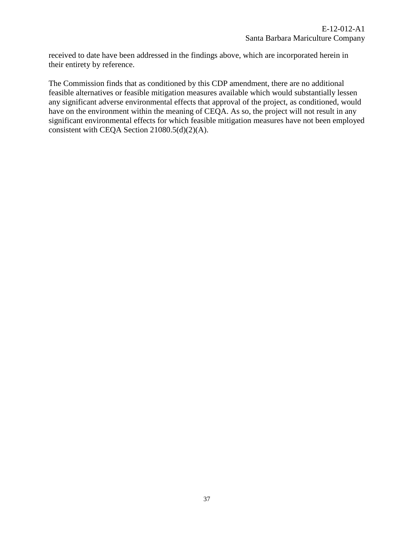received to date have been addressed in the findings above, which are incorporated herein in their entirety by reference.

The Commission finds that as conditioned by this CDP amendment, there are no additional feasible alternatives or feasible mitigation measures available which would substantially lessen any significant adverse environmental effects that approval of the project, as conditioned, would have on the environment within the meaning of CEQA. As so, the project will not result in any significant environmental effects for which feasible mitigation measures have not been employed consistent with CEQA Section 21080.5(d)(2)(A).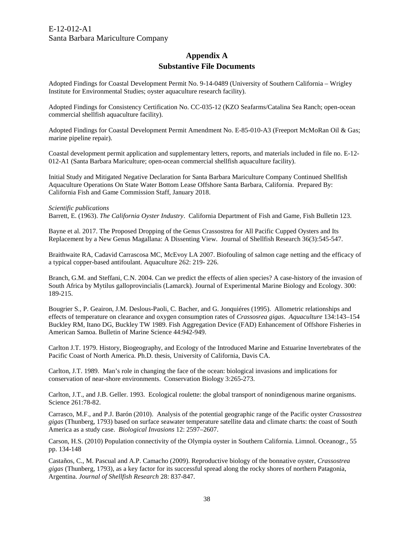## **Appendix A Substantive File Documents**

<span id="page-37-0"></span>Adopted Findings for Coastal Development Permit No. 9-14-0489 (University of Southern California – Wrigley Institute for Environmental Studies; oyster aquaculture research facility).

Adopted Findings for Consistency Certification No. CC-035-12 (KZO Seafarms/Catalina Sea Ranch; open-ocean commercial shellfish aquaculture facility).

Adopted Findings for Coastal Development Permit Amendment No. E-85-010-A3 (Freeport McMoRan Oil & Gas; marine pipeline repair).

Coastal development permit application and supplementary letters, reports, and materials included in file no. E-12- 012-A1 (Santa Barbara Mariculture; open-ocean commercial shellfish aquaculture facility).

Initial Study and Mitigated Negative Declaration for Santa Barbara Mariculture Company Continued Shellfish Aquaculture Operations On State Water Bottom Lease Offshore Santa Barbara, California. Prepared By: California Fish and Game Commission Staff, January 2018.

#### *Scientific publications*

Barrett, E. (1963). *The California Oyster Industry*. California Department of Fish and Game, Fish Bulletin 123.

Bayne et al. 2017. The Proposed Dropping of the Genus Crassostrea for All Pacific Cupped Oysters and Its Replacement by a New Genus Magallana: A Dissenting View. Journal of Shellfish Research 36(3):545-547.

Braithwaite RA, Cadavid Carrascosa MC, McEvoy LA 2007. Biofouling of salmon cage netting and the efficacy of a typical copper-based antifoulant. Aquaculture 262: 219- 226.

Branch, G.M. and Steffani, C.N. 2004. Can we predict the effects of alien species? A case-history of the invasion of South Africa by Mytilus galloprovincialis (Lamarck). Journal of Experimental Marine Biology and Ecology. 300: 189-215.

Bougrier S., P. Geairon, J.M. Deslous-Paoli, C. Bacher, and G. Jonquiéres (1995). Allometric relationships and effects of temperature on clearance and oxygen consumption rates of *Crassosrea gigas*. *Aquaculture* 134:143–154 Buckley RM, Itano DG, Buckley TW 1989. Fish Aggregation Device (FAD) Enhancement of Offshore Fisheries in American Samoa. Bulletin of Marine Science 44:942-949.

Carlton J.T. 1979. History, Biogeography, and Ecology of the Introduced Marine and Estuarine Invertebrates of the Pacific Coast of North America. Ph.D. thesis, University of California, Davis CA.

Carlton, J.T. 1989. Man's role in changing the face of the ocean: biological invasions and implications for conservation of near-shore environments. Conservation Biology 3:265-273.

Carlton, J.T., and J.B. Geller. 1993. Ecological roulette: the global transport of nonindigenous marine organisms. Science 261:78-82.

Carrasco, M.F., and P.J. Barón (2010). Analysis of the potential geographic range of the Pacific oyster *Crassostrea gigas* (Thunberg, 1793) based on surface seawater temperature satellite data and climate charts: the coast of South America as a study case. *Biological Invasions* 12: 2597–2607.

Carson, H.S. (2010) Population connectivity of the Olympia oyster in Southern California. Limnol. Oceanogr., 55 pp. 134-148

Castaños, C., M. Pascual and A.P. Camacho (2009). Reproductive biology of the bonnative oyster, *Crassostrea gigas* (Thunberg, 1793), as a key factor for its successful spread along the rocky shores of northern Patagonia, Argentina. *Journal of Shellfish Research* 28: 837-847.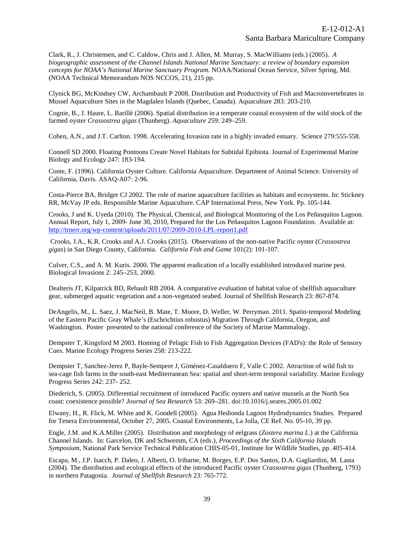Clark, R., J. Christensen, and C. Caldow, Chris and J. Allen, M. Murray, S. MacWilliams (eds.) (2005). *A biogeographic assessment of the Channel Islands National Marine Sanctuary: a review of boundary expansion concepts for NOAA's National Marine Sanctuary Program.* NOAA/National Ocean Service, Silver Spring, Md. (NOAA Technical Memorandum NOS NCCOS, 21), 215 pp.

Clynick BG, McKindsey CW, Archambault P 2008. Distribution and Productivity of Fish and Macroinvertebrates in Mussel Aquaculture Sites in the Magdalen Islands (Quebec, Canada). Aquaculture 283: 203-210.

Cognie, B., J. Haure, L. Barillé (2006). Spatial distribution in a temperate coastal ecosystem of the wild stock of the farmed oyster *Crassostrea gigas* (Thunberg). *Aquaculture* 259: 249–259.

Cohen, A.N., and J.T. Carlton. 1998. Accelerating Invasion rate in a highly invaded estuary. Science 279:555-558.

Connell SD 2000. Floating Pontoons Create Novel Habitats for Subtidal Epibiota. Journal of Experimental Marine Biology and Ecology 247: 183-194.

Conte, F. (1996). California Oyster Culture. California Aquaculture. Department of Animal Science. University of California, Davis. ASAQ-A07: 2-96.

Costa-Pierce BA, Bridger CJ 2002. The role of marine aquaculture facilities as habitats and ecosystems. In: Stickney RR, McVay JP eds. Responsible Marine Aquaculture. CAP International Press, New York. Pp. 105-144.

Crooks, J and K. Uyeda (2010). The Physical, Chemical, and Biological Monitoring of the Los Peñasquitos Lagoon. Annual Report, July 1, 2009- June 30, 2010, Prepared for the Los Peñasquitos Lagoon Foundation. Available at: <http://trnerr.org/wp-content/uploads/2011/07/2009-2010-LPL-report1.pdf>

Crooks, J.A., K.R. Crooks and A.J. Crooks (2015). Observations of the non-native Pacific oyster (*Crassostrea gigas*) in San Diego County, California. *California Fish and Game* 101(2): 101-107.

Culver, C.S., and A. M. Kuris. 2000. The apparent eradication of a locally established introduced marine pest. Biological Invasions 2: 245–253, 2000.

Dealteris JT, Kilpatrick BD, Rehault RB 2004. A comparative evaluation of habitat value of shellfish aquaculture gear, submerged aquatic vegetation and a non-vegetated seabed. Journal of Shellfish Research 23: 867-874.

DeAngelis, M., L. Saez, J. MacNeil, B. Mate, T. Moore, D. Weller, W. Perryman. 2011. Spatio-temporal Modeling of the Eastern Pacific Gray Whale's (Eschrichtius robustus) Migration Through California, Oregon, and Washington. Poster presented to the national conference of the Society of Marine Mammalogy.

Dempster T, Kingsford M 2003. Homing of Pelagic Fish to Fish Aggregation Devices (FAD's): the Role of Sensory Cues. Marine Ecology Progress Series 258: 213-222.

Dempster T, Sanchez-Jerez P, Bayle-Sempere J, Giménez-Casalduero F, Valle C 2002. Attraction of wild fish to sea-cage fish farms in the south-east Mediterranean Sea: spatial and short-term temporal variability. Marine Ecology Progress Series 242: 237- 252.

Diederich, S. (2005). Differential recruitment of introduced Pacific oysters and native mussels at the North Sea coast: coexistence possible? *Journal of Sea Research* 53: 269–281. doi:10.1016/j.seares.2005.01.002

Elwany, H., R. Flick, M. White and K. Goodell (2005). Agua Hedionda Lagoon Hydrodynamics Studies. Prepared for Tenera Environmental, October 27, 2005. Coastal Environments, La Jolla, CE Ref. No. 05-10, 39 pp.

Engle, J.M. and K.A.Miller (2005). Distribution and morphology of eelgrass (*Zostera marina L.*) at the California Channel Islands. In: Garcelon, DK and Schwemm, CA (eds.), *Proceedings of the Sixth California Islands Symposium*, National Park Service Technical Publication CHIS-05-01, Institute for Wildlife Studies, pp. 405-414.

Escapa, M., J.P. Isacch, P. Daleo, J. Alberti, O. Iribarne, M. Borges, E.P. Dos Santos, D.A. Gagliardini, M. Lasta (2004). The distribution and ecological effects of the introduced Pacific oyster *Crassostrea gigas* (Thunberg, 1793) in northern Patagonia. *Journal of Shellfish Research* 23: 765-772.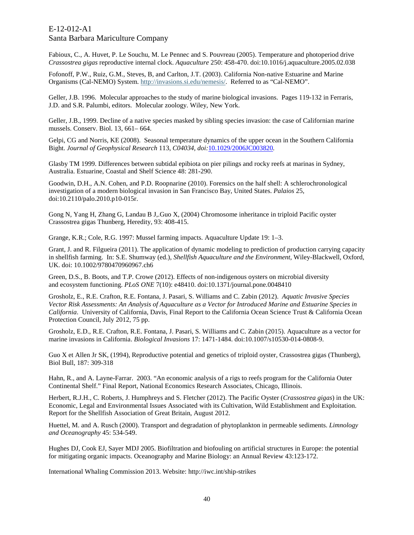Fabioux, C., A. Huvet, P. Le Souchu, M. Le Pennec and S. Pouvreau (2005). Temperature and photoperiod drive *Crassostrea gigas* reproductive internal clock. *Aquaculture* 250: 458-470. doi:10.1016/j.aquaculture.2005.02.038

Fofonoff, P.W., Ruiz, G.M., Steves, B, and Carlton, J.T. (2003). California Non-native Estuarine and Marine Organisms (Cal-NEMO) System. [http://invasions.si.edu/nemesis/.](http://invasions.si.edu/nemesis/) Referred to as "Cal-NEMO".

Geller, J.B. 1996. Molecular approaches to the study of marine biological invasions. Pages 119-132 in Ferraris, J.D. and S.R. Palumbi, editors. Molecular zoology. Wiley, New York.

Geller, J.B., 1999. Decline of a native species masked by sibling species invasion: the case of Californian marine mussels. Conserv. Biol. 13, 661– 664.

Gelpi, CG and Norris, KE (2008). Seasonal temperature dynamics of the upper ocean in the Southern California Bight. *Journal of Geophysical Research* 113, *C04034, doi:*[10.1029/2006JC003820](http://dx.doi.org/10.1029/2006JC003820)*.* 

Glasby TM 1999. Differences between subtidal epibiota on pier pilings and rocky reefs at marinas in Sydney, Australia. Estuarine, Coastal and Shelf Science 48: 281-290.

Goodwin, D.H., A.N. Cohen, and P.D. Roopnarine (2010). Forensics on the half shell: A schlerochronological investigation of a modern biological invasion in San Francisco Bay, United States. *Palaios* 25, doi:10.2110/palo.2010.p10-015r.

Gong N, Yang H, Zhang G, Landau B J,.Guo X, (2004) Chromosome inheritance in triploid Pacific oyster Crassostrea gigas Thunberg, Heredity, 93: 408-415.

Grange, K.R.; Cole, R.G. 1997: Mussel farming impacts. Aquaculture Update 19: 1–3.

Grant, J. and R. Filgueira (2011). The application of dynamic modeling to prediction of production carrying capacity in shellfish farming. In: S.E. Shumway (ed.), *Shellfish Aquaculture and the Environment*, Wiley-Blackwell, Oxford, UK. doi: 10.1002/9780470960967.ch6

Green, D.S., B. Boots, and T.P. Crowe (2012). Effects of non-indigenous oysters on microbial diversity and ecosystem functioning. *PLoS ONE* 7(10): e48410. doi:10.1371/journal.pone.0048410

Grosholz, E., R.E. Crafton, R.E. Fontana, J. Pasari, S. Williams and C. Zabin (2012). *Aquatic Invasive Species Vector Risk Assessments: An Analysis of Aquaculture as a Vector for Introduced Marine and Estuarine Species in California*. University of California, Davis, Final Report to the California Ocean Science Trust & California Ocean Protection Council, July 2012, 75 pp.

Grosholz, E.D., R.E. Crafton, R.E. Fontana, J. Pasari, S. Williams and C. Zabin (2015). Aquaculture as a vector for marine invasions in California. *Biological Invasions* 17: 1471-1484. doi:10.1007/s10530-014-0808-9.

Guo X et Allen Jr SK, (1994), Reproductive potential and genetics of triploid oyster, Crassostrea gigas (Thunberg), Biol Bull, 187: 309-318

Hahn, R., and A. Layne-Farrar. 2003. "An economic analysis of a rigs to reefs program for the California Outer Continental Shelf." Final Report, National Economics Research Associates, Chicago, Illinois.

Herbert, R.J.H., C. Roberts, J. Humphreys and S. Fletcher (2012). The Pacific Oyster (*Crassostrea gigas*) in the UK: Economic, Legal and Environmental Issues Associated with its Cultivation, Wild Establishment and Exploitation. Report for the Shellfish Association of Great Britain, August 2012.

Huettel, M. and A. Rusch (2000). Transport and degradation of phytoplankton in permeable sediments. *Limnology and Oceanography* 45: 534-549.

Hughes DJ, Cook EJ, Sayer MDJ 2005. Biofiltration and biofouling on artificial structures in Europe: the potential for mitigating organic impacts. Oceanography and Marine Biology: an Annual Review 43:123-172.

International Whaling Commission 2013. Website: http://iwc.int/ship-strikes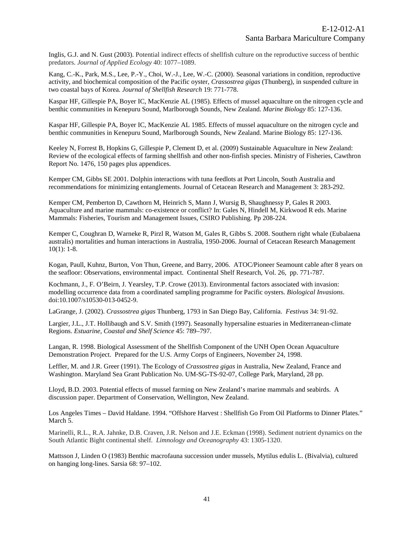Inglis, G.J. and N. Gust (2003). Potential indirect effects of shellfish culture on the reproductive success of benthic predators. *Journal of Applied Ecology* 40: 1077–1089.

Kang, C.-K., Park, M.S., Lee, P.-Y., Choi, W.-J., Lee, W.-C. (2000). Seasonal variations in condition, reproductive activity, and biochemical composition of the Pacific oyster, *Crassostrea gigas* (Thunberg), in suspended culture in two coastal bays of Korea. *Journal of Shellfish Research* 19: 771-778.

Kaspar HF, Gillespie PA, Boyer IC, MacKenzie AL (1985). Effects of mussel aquaculture on the nitrogen cycle and benthic communities in Kenepuru Sound, Marlborough Sounds, New Zealand. *Marine Biology* 85: 127-136.

Kaspar HF, Gillespie PA, Boyer IC, MacKenzie AL 1985. Effects of mussel aquaculture on the nitrogen cycle and benthic communities in Kenepuru Sound, Marlborough Sounds, New Zealand. Marine Biology 85: 127-136.

Keeley N, Forrest B, Hopkins G, Gillespie P, Clement D, et al. (2009) Sustainable Aquaculture in New Zealand: Review of the ecological effects of farming shellfish and other non-finfish species. Ministry of Fisheries, Cawthron Report No. 1476, 150 pages plus appendices.

Kemper CM, Gibbs SE 2001. Dolphin interactions with tuna feedlots at Port Lincoln, South Australia and recommendations for minimizing entanglements. Journal of Cetacean Research and Management 3: 283-292.

Kemper CM, Pemberton D, Cawthorn M, Heinrich S, Mann J, Wursig B, Shaughnessy P, Gales R 2003. Aquaculture and marine mammals: co-existence or conflict? In: Gales N, Hindell M, Kirkwood R eds. Marine Mammals: Fisheries, Tourism and Management Issues, CSIRO Publishing. Pp 208-224.

Kemper C, Coughran D, Warneke R, Pirzl R, Watson M, Gales R, Gibbs S. 2008. Southern right whale (Eubalaena australis) mortalities and human interactions in Australia, 1950-2006. Journal of Cetacean Research Management 10(1): 1-8.

Kogan, Paull, Kuhnz, Burton, Von Thun, Greene, and Barry, 2006. ATOC/Pioneer Seamount cable after 8 years on the seafloor: Observations, environmental impact. Continental Shelf Research, Vol. 26, pp. 771-787.

Kochmann, J., F. O'Beirn, J. Yearsley, T.P. Crowe (2013). Environmental factors associated with invasion: modelling occurrence data from a coordinated sampling programme for Pacific oysters. *Biological Invasions*. doi:10.1007/s10530-013-0452-9.

LaGrange, J. (2002). *Crassostrea gigas* Thunberg, 1793 in San Diego Bay, California. *Festivus* 34: 91-92.

Largier, J.L., J.T. Hollibaugh and S.V. Smith (1997). Seasonally hypersaline estuaries in Mediterranean-climate Regions. *Estuarine, Coastal and Shelf Science* 45: 789–797.

Langan, R. 1998. Biological Assessment of the Shellfish Component of the UNH Open Ocean Aquaculture Demonstration Project. Prepared for the U.S. Army Corps of Engineers, November 24, 1998.

Leffler, M. and J.R. Greer (1991). The Ecology of *Crassostrea gigas* in Australia, New Zealand, France and Washington. Maryland Sea Grant Publication No. UM-SG-TS-92-07, College Park, Maryland, 28 pp.

Lloyd, B.D. 2003. Potential effects of mussel farming on New Zealand's marine mammals and seabirds. A discussion paper. Department of Conservation, Wellington, New Zealand.

Los Angeles Times – David Haldane. 1994. "Offshore Harvest : Shellfish Go From Oil Platforms to Dinner Plates." March 5.

Marinelli, R.L., R.A. Jahnke, D.B. Craven, J.R. Nelson and J.E. Eckman (1998). Sediment nutrient dynamics on the South Atlantic Bight continental shelf. *Limnology and Oceanography* 43: 1305-1320.

Mattsson J, Linden O (1983) Benthic macrofauna succession under mussels, Mytilus edulis L. (Bivalvia), cultured on hanging long-lines. Sarsia 68: 97–102.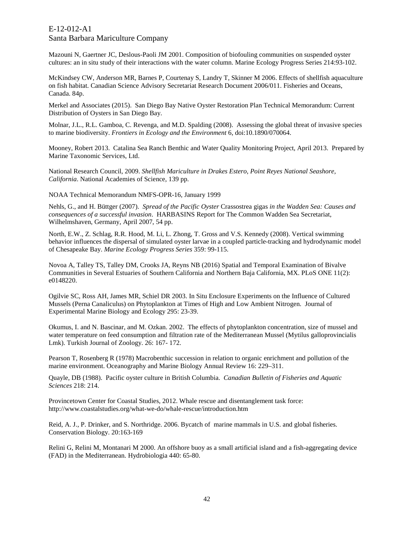Mazouni N, Gaertner JC, Deslous-Paoli JM 2001. Composition of biofouling communities on suspended oyster cultures: an in situ study of their interactions with the water column. Marine Ecology Progress Series 214:93-102.

McKindsey CW, Anderson MR, Barnes P, Courtenay S, Landry T, Skinner M 2006. Effects of shellfish aquaculture on fish habitat. Canadian Science Advisory Secretariat Research Document 2006/011. Fisheries and Oceans, Canada. 84p.

Merkel and Associates (2015). San Diego Bay Native Oyster Restoration Plan Technical Memorandum: Current Distribution of Oysters in San Diego Bay.

Molnar, J.L., R.L. Gamboa, C. Revenga, and M.D. Spalding (2008). Assessing the global threat of invasive species to marine biodiversity. *Frontiers in Ecology and the Environment* 6, doi:10.1890/070064.

Mooney, Robert 2013. Catalina Sea Ranch Benthic and Water Quality Monitoring Project, April 2013. Prepared by Marine Taxonomic Services, Ltd.

National Research Council, 2009. *Shellfish Mariculture in Drakes Estero, Point Reyes National Seashore, California*. National Academies of Science, 139 pp.

NOAA Technical Memorandum NMFS-OPR-16, January 1999

Nehls, G., and H. Büttger (2007). *Spread of the Pacific Oyster* Crassostrea gigas *in the Wadden Sea: Causes and consequences of a successful invasion*. HARBASINS Report for The Common Wadden Sea Secretariat, Wilhelmshaven, Germany, April 2007, 54 pp.

North, E.W., Z. Schlag, R.R. Hood, M. Li, L. Zhong, T. Gross and V.S. Kennedy (2008). Vertical swimming behavior influences the dispersal of simulated oyster larvae in a coupled particle-tracking and hydrodynamic model of Chesapeake Bay. *Marine Ecology Progress Series* 359: 99-115.

Novoa A, Talley TS, Talley DM, Crooks JA, Reyns NB (2016) Spatial and Temporal Examination of Bivalve Communities in Several Estuaries of Southern California and Northern Baja California, MX. PLoS ONE 11(2): e0148220.

Ogilvie SC, Ross AH, James MR, Schiel DR 2003. In Situ Enclosure Experiments on the Influence of Cultured Mussels (Perna Canaliculus) on Phytoplankton at Times of High and Low Ambient Nitrogen. Journal of Experimental Marine Biology and Ecology 295: 23-39.

Okumus, I. and N. Bascinar, and M. Ozkan. 2002. The effects of phytoplankton concentration, size of mussel and water temperature on feed consumption and filtration rate of the Mediterranean Mussel (Mytilus galloprovincialis Lmk). Turkish Journal of Zoology. 26: 167- 172.

Pearson T, Rosenberg R (1978) Macrobenthic succession in relation to organic enrichment and pollution of the marine environment. Oceanography and Marine Biology Annual Review 16: 229–311.

Quayle, DB (1988). Pacific oyster culture in British Columbia. *Canadian Bulletin of Fisheries and Aquatic Sciences* 218: 214.

Provincetown Center for Coastal Studies, 2012. Whale rescue and disentanglement task force: http://www.coastalstudies.org/what-we-do/whale-rescue/introduction.htm

Reid, A. J., P. Drinker, and S. Northridge. 2006. Bycatch of marine mammals in U.S. and global fisheries. Conservation Biology. 20:163-169

Relini G, Relini M, Montanari M 2000. An offshore buoy as a small artificial island and a fish-aggregating device (FAD) in the Mediterranean. Hydrobiologia 440: 65-80.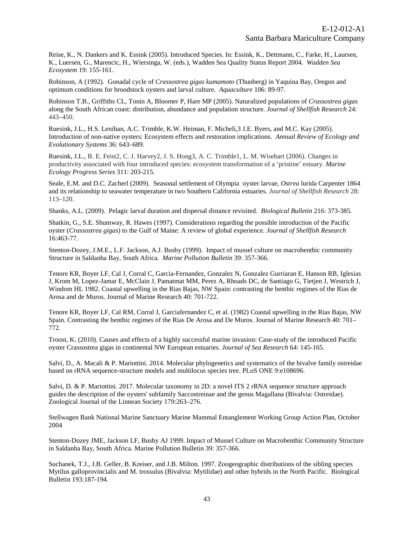Reise, K., N. Dankers and K. Essink (2005). Introduced Species. In: Essink, K., Dettmann, C., Farke, H., Laursen, K., Luersen, G., Marencic, H., Wiersinga, W. (eds.), Wadden Sea Quality Status Report 2004. *Wadden Sea Ecosystem* 19: 155-161.

Robinson, A (1992). Gonadal cycle of *Crassostrea gigas kumamoto* (Thunberg) in Yaquina Bay, Oregon and optimum conditions for broodstock oysters and larval culture. *Aquaculture* 106: 89-97.

Robinson T.B., Griffiths CL, Tonin A, Bloomer P, Hare MP (2005). Naturalized populations of *Crassostrea gigas*  along the South African coast: distribution, abundance and population structure. *Journal of Shellfish Research* 24: 443–450.

Ruesink, J.L., H.S. Lenihan, A.C. Trimble, K.W. Heiman, F. Micheli,3 J.E. Byers, and M.C. Kay (2005). Introduction of non-native oysters: Ecosystem effects and restoration implications. *Annual Review of Ecology and Evolutionary Systems* 36: 643–689.

Ruesink, J.L., B. E. Feist2, C. J. Harvey2, J. S. Hong3, A. C. Trimble1, L. M. Wisehart (2006). Changes in productivity associated with four introduced species: ecosystem transformation of a 'pristine' estuary. *Marine Ecology Progress Series* 311: 203-215.

Seale, E.M. and D.C. Zacherl (2009). Seasonal settlement of Olympia oyster larvae, *Ostrea* lurida Carpenter 1864 and its relationship to seawater temperature in two Southern California estuaries. *Journal of Shellfish Research* 28: 113–120.

Shanks, A.L. (2009). Pelagic larval duration and dispersal distance revisited. *Biological Bulletin* 216: 373-385.

Shatkin, G., S.E. Shumway, R. Hawes (1997). Considerations regarding the possible introduction of the Pacific oyster (*Crassostrea gigas*) to the Gulf of Maine: A review of global experience. *Journal of Shellfish Research* 16:463-77.

Stenton-Dozey, J.M.E., L.F. Jackson, A.J. Busby (1999). Impact of mussel culture on macrobenthic community Structure in Saldanha Bay, South Africa. *Marine Pollution Bulletin* 39: 357-366.

Tenore KR, Boyer LF, Cal J, Corral C, Garcia-Fernandez, Gonzalez N, Gonzalez Gurriaran E, Hanson RB, Iglesias J, Krom M, Lopez-Jamar E, McClain J, Pamatmat MM, Perez A, Rhoads DC, de Santiago G, Tietjen J, Westrich J, Windom HL 1982. Coastal upwelling in the Rias Bajas, NW Spain: contrasting the benthic regimes of the Rias de Arosa and de Muros. Journal of Marine Research 40: 701-722.

Tenore KR, Boyer LF, Cal RM, Corral J, Garciafernandez C, et al. (1982) Coastal upwelling in the Rias Bajas, NW Spain. Contrasting the benthic regimes of the Rias De Arosa and De Muros. Journal of Marine Research 40: 701– 772.

Troost, K. (2010). Causes and effects of a highly successful marine invasion: Case-study of the introduced Pacific oyster Crassostrea gigas in continental NW European estuaries. *Journal of Sea Research* 64: 145-165.

Salvi, D., A. Macali & P. Mariottini. 2014. Molecular phylogenetics and systematics of the bivalve family ostreidae based on rRNA sequence-structure models and multilocus species tree. PLoS ONE 9:e108696.

Salvi, D. & P. Mariottini. 2017. Molecular taxonomy in 2D: a novel ITS 2 rRNA sequence structure approach guides the description of the oysters' subfamily Saccostreinae and the genus Magallana (Bivalvia: Ostreidae). Zoological Journal of the Linnean Society 179:263–276.

Stellwagen Bank National Marine Sanctuary Marine Mammal Entanglement Working Group Action Plan, October 2004

Stenton-Dozey JME, Jackson LF, Busby AJ 1999. Impact of Mussel Culture on Macrobenthic Community Structure in Saldanha Bay, South Africa. Marine Pollution Bulletin 39: 357-366.

Suchanek, T.J., J.B. Geller, B. Kreiser, and J.B. Milton. 1997. Zoogeographic distributions of the sibling species Mytilus galloprovincialis and M. trossulus (Bivalvia: Mytilidae) and other hybrids in the North Pacific. Biological Bulletin 193:187-194.